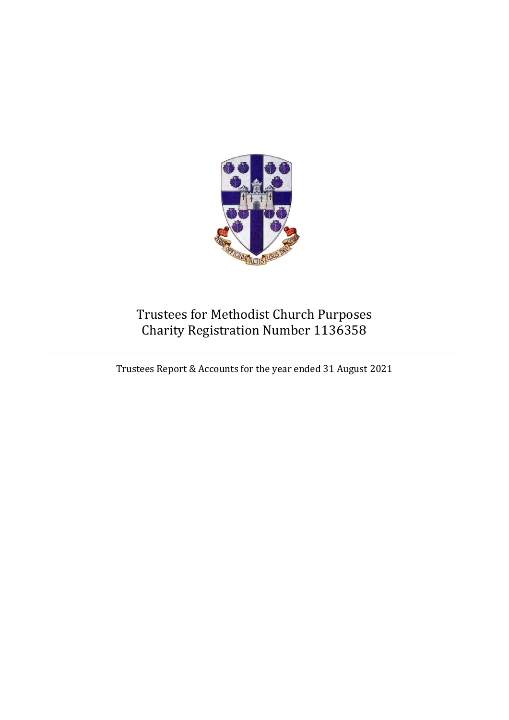

# Trustees for Methodist Church Purposes Charity Registration Number 1136358

Trustees Report & Accounts for the year ended 31 August 2021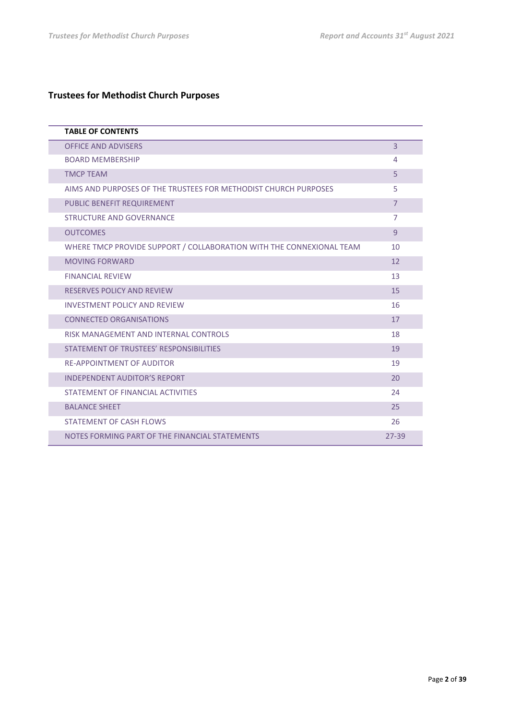## **Trustees for Methodist Church Purposes**

| <b>TABLE OF CONTENTS</b>                                             |                |
|----------------------------------------------------------------------|----------------|
| <b>OFFICE AND ADVISERS</b>                                           | $\overline{3}$ |
| <b>BOARD MEMBERSHIP</b>                                              | 4              |
| <b>TMCP TEAM</b>                                                     | 5              |
| AIMS AND PURPOSES OF THE TRUSTEES FOR METHODIST CHURCH PURPOSES      | 5              |
| PUBLIC BENEFIT REQUIREMENT                                           | $\overline{7}$ |
| STRUCTURE AND GOVERNANCE                                             | $\overline{7}$ |
| <b>OUTCOMES</b>                                                      | 9              |
| WHERE TMCP PROVIDE SUPPORT / COLLABORATION WITH THE CONNEXIONAL TEAM | 10             |
| <b>MOVING FORWARD</b>                                                | 12             |
| <b>FINANCIAL REVIEW</b>                                              | 13             |
| <b>RESERVES POLICY AND REVIEW</b>                                    | 15             |
| INVESTMENT POLICY AND REVIEW                                         | 16             |
| <b>CONNECTED ORGANISATIONS</b>                                       | 17             |
| RISK MANAGEMENT AND INTERNAL CONTROLS                                | 18             |
| STATEMENT OF TRUSTEES' RESPONSIBILITIES                              | 19             |
| <b>RE-APPOINTMENT OF AUDITOR</b>                                     | 19             |
| <b>INDEPENDENT AUDITOR'S REPORT</b>                                  | 20             |
| STATEMENT OF FINANCIAL ACTIVITIES                                    | 24             |
| <b>BALANCE SHEET</b>                                                 | 25             |
| <b>STATEMENT OF CASH FLOWS</b>                                       | 26             |
| NOTES FORMING PART OF THE FINANCIAL STATEMENTS                       | $27 - 39$      |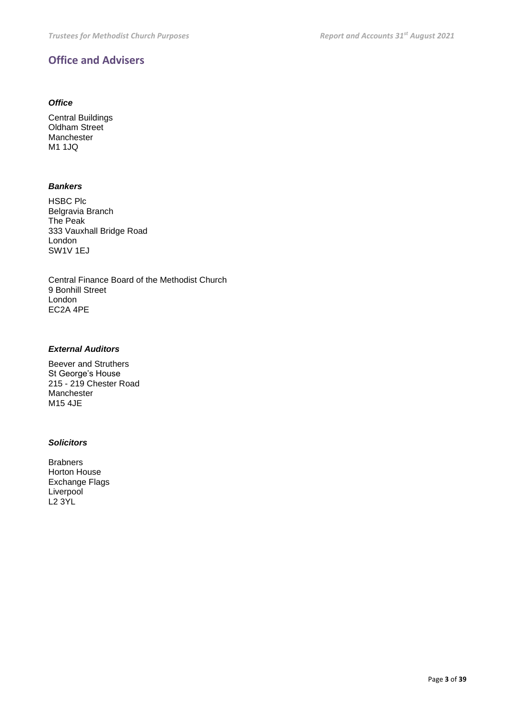## **Office and Advisers**

### *Office*

Central Buildings Oldham Street Manchester M1 1JQ

### *Bankers*

HSBC Plc Belgravia Branch The Peak 333 Vauxhall Bridge Road London SW1V 1EJ

Central Finance Board of the Methodist Church 9 Bonhill Street London EC2A 4PE

### *External Auditors*

Beever and Struthers St George's House 215 - 219 Chester Road Manchester M15 4JE

### *Solicitors*

Brabners Horton House Exchange Flags **Liverpool** L2 3YL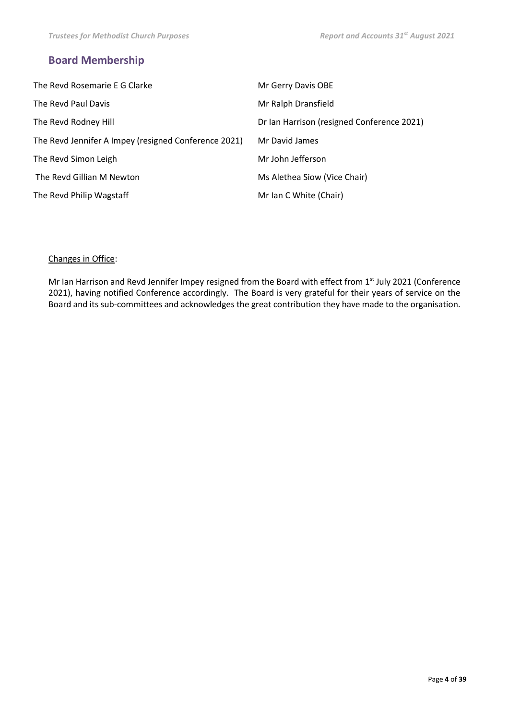## **Board Membership**

| The Revd Rosemarie E G Clarke                        | Mr Gerry Davis OBE                         |
|------------------------------------------------------|--------------------------------------------|
| The Revd Paul Davis                                  | Mr Ralph Dransfield                        |
| The Revd Rodney Hill                                 | Dr Ian Harrison (resigned Conference 2021) |
| The Revd Jennifer A Impey (resigned Conference 2021) | Mr David James                             |
| The Revd Simon Leigh                                 | Mr John Jefferson                          |
| The Revd Gillian M Newton                            | Ms Alethea Siow (Vice Chair)               |
| The Revd Philip Wagstaff                             | Mr Ian C White (Chair)                     |

### Changes in Office:

Mr Ian Harrison and Revd Jennifer Impey resigned from the Board with effect from 1<sup>st</sup> July 2021 (Conference 2021), having notified Conference accordingly. The Board is very grateful for their years of service on the Board and its sub-committees and acknowledges the great contribution they have made to the organisation.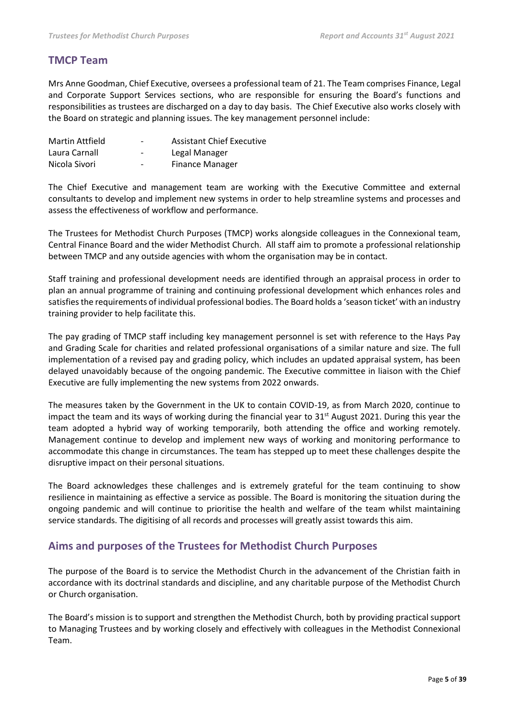## **TMCP Team**

Mrs Anne Goodman, Chief Executive, oversees a professional team of 21. The Team comprises Finance, Legal and Corporate Support Services sections, who are responsible for ensuring the Board's functions and responsibilities as trustees are discharged on a day to day basis. The Chief Executive also works closely with the Board on strategic and planning issues. The key management personnel include:

| <b>Martin Attfield</b> | $\overline{\phantom{a}}$     | <b>Assistant Chief Executive</b> |
|------------------------|------------------------------|----------------------------------|
| Laura Carnall          | $\qquad \qquad \blacksquare$ | Legal Manager                    |
| Nicola Sivori          | $\qquad \qquad \blacksquare$ | Finance Manager                  |

The Chief Executive and management team are working with the Executive Committee and external consultants to develop and implement new systems in order to help streamline systems and processes and assess the effectiveness of workflow and performance.

The Trustees for Methodist Church Purposes (TMCP) works alongside colleagues in the Connexional team, Central Finance Board and the wider Methodist Church. All staff aim to promote a professional relationship between TMCP and any outside agencies with whom the organisation may be in contact.

Staff training and professional development needs are identified through an appraisal process in order to plan an annual programme of training and continuing professional development which enhances roles and satisfies the requirements of individual professional bodies. The Board holds a 'season ticket' with an industry training provider to help facilitate this.

The pay grading of TMCP staff including key management personnel is set with reference to the Hays Pay and Grading Scale for charities and related professional organisations of a similar nature and size. The full implementation of a revised pay and grading policy, which includes an updated appraisal system, has been delayed unavoidably because of the ongoing pandemic. The Executive committee in liaison with the Chief Executive are fully implementing the new systems from 2022 onwards.

The measures taken by the Government in the UK to contain COVID-19, as from March 2020, continue to impact the team and its ways of working during the financial year to  $31<sup>st</sup>$  August 2021. During this year the team adopted a hybrid way of working temporarily, both attending the office and working remotely. Management continue to develop and implement new ways of working and monitoring performance to accommodate this change in circumstances. The team has stepped up to meet these challenges despite the disruptive impact on their personal situations.

The Board acknowledges these challenges and is extremely grateful for the team continuing to show resilience in maintaining as effective a service as possible. The Board is monitoring the situation during the ongoing pandemic and will continue to prioritise the health and welfare of the team whilst maintaining service standards. The digitising of all records and processes will greatly assist towards this aim.

## **Aims and purposes of the Trustees for Methodist Church Purposes**

The purpose of the Board is to service the Methodist Church in the advancement of the Christian faith in accordance with its doctrinal standards and discipline, and any charitable purpose of the Methodist Church or Church organisation.

The Board's mission is to support and strengthen the Methodist Church, both by providing practical support to Managing Trustees and by working closely and effectively with colleagues in the Methodist Connexional Team.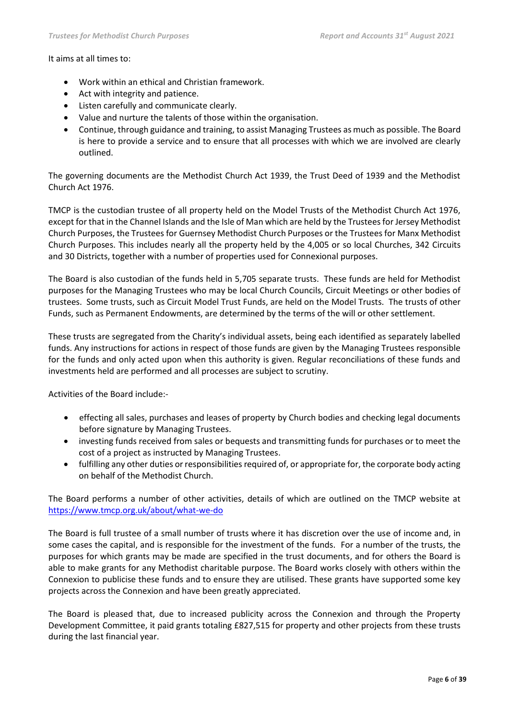### It aims at all times to:

- Work within an ethical and Christian framework.
- Act with integrity and patience.
- Listen carefully and communicate clearly.
- Value and nurture the talents of those within the organisation.
- Continue, through guidance and training, to assist Managing Trustees as much as possible. The Board is here to provide a service and to ensure that all processes with which we are involved are clearly outlined.

The governing documents are the Methodist Church Act 1939, the Trust Deed of 1939 and the Methodist Church Act 1976.

TMCP is the custodian trustee of all property held on the Model Trusts of the Methodist Church Act 1976, except for that in the Channel Islands and the Isle of Man which are held by the Trustees for Jersey Methodist Church Purposes, the Trustees for Guernsey Methodist Church Purposes or the Trustees for Manx Methodist Church Purposes. This includes nearly all the property held by the 4,005 or so local Churches, 342 Circuits and 30 Districts, together with a number of properties used for Connexional purposes.

The Board is also custodian of the funds held in 5,705 separate trusts. These funds are held for Methodist purposes for the Managing Trustees who may be local Church Councils, Circuit Meetings or other bodies of trustees. Some trusts, such as Circuit Model Trust Funds, are held on the Model Trusts. The trusts of other Funds, such as Permanent Endowments, are determined by the terms of the will or other settlement.

These trusts are segregated from the Charity's individual assets, being each identified as separately labelled funds. Any instructions for actions in respect of those funds are given by the Managing Trustees responsible for the funds and only acted upon when this authority is given. Regular reconciliations of these funds and investments held are performed and all processes are subject to scrutiny.

Activities of the Board include:-

- effecting all sales, purchases and leases of property by Church bodies and checking legal documents before signature by Managing Trustees.
- investing funds received from sales or bequests and transmitting funds for purchases or to meet the cost of a project as instructed by Managing Trustees.
- fulfilling any other duties or responsibilities required of, or appropriate for, the corporate body acting on behalf of the Methodist Church.

The Board performs a number of other activities, details of which are outlined on the TMCP website at <https://www.tmcp.org.uk/about/what-we-do>

The Board is full trustee of a small number of trusts where it has discretion over the use of income and, in some cases the capital, and is responsible for the investment of the funds. For a number of the trusts, the purposes for which grants may be made are specified in the trust documents, and for others the Board is able to make grants for any Methodist charitable purpose. The Board works closely with others within the Connexion to publicise these funds and to ensure they are utilised. These grants have supported some key projects across the Connexion and have been greatly appreciated.

The Board is pleased that, due to increased publicity across the Connexion and through the Property Development Committee, it paid grants totaling £827,515 for property and other projects from these trusts during the last financial year.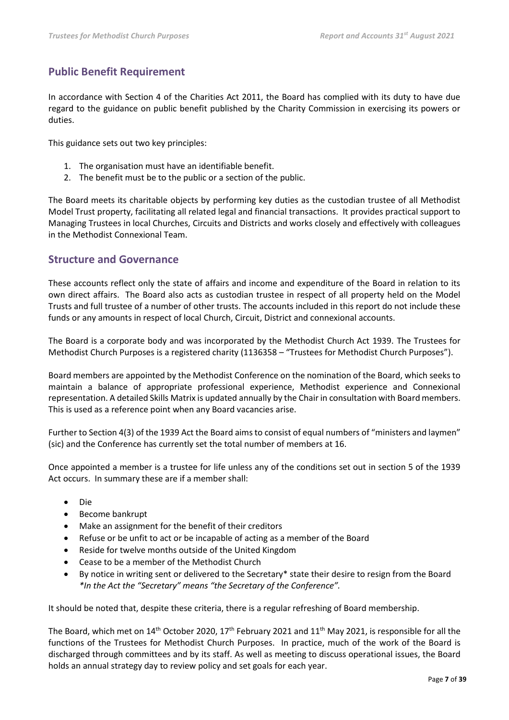## **Public Benefit Requirement**

In accordance with Section 4 of the Charities Act 2011, the Board has complied with its duty to have due regard to the guidance on public benefit published by the Charity Commission in exercising its powers or duties.

This guidance sets out two key principles:

- 1. The organisation must have an identifiable benefit.
- 2. The benefit must be to the public or a section of the public.

The Board meets its charitable objects by performing key duties as the custodian trustee of all Methodist Model Trust property, facilitating all related legal and financial transactions. It provides practical support to Managing Trustees in local Churches, Circuits and Districts and works closely and effectively with colleagues in the Methodist Connexional Team.

## **Structure and Governance**

These accounts reflect only the state of affairs and income and expenditure of the Board in relation to its own direct affairs. The Board also acts as custodian trustee in respect of all property held on the Model Trusts and full trustee of a number of other trusts. The accounts included in this report do not include these funds or any amounts in respect of local Church, Circuit, District and connexional accounts.

The Board is a corporate body and was incorporated by the Methodist Church Act 1939. The Trustees for Methodist Church Purposes is a registered charity (1136358 – "Trustees for Methodist Church Purposes").

Board members are appointed by the Methodist Conference on the nomination of the Board, which seeks to maintain a balance of appropriate professional experience, Methodist experience and Connexional representation. A detailed Skills Matrix is updated annually by the Chair in consultation with Board members. This is used as a reference point when any Board vacancies arise.

Further to Section 4(3) of the 1939 Act the Board aims to consist of equal numbers of "ministers and laymen" (sic) and the Conference has currently set the total number of members at 16.

Once appointed a member is a trustee for life unless any of the conditions set out in section 5 of the 1939 Act occurs. In summary these are if a member shall:

- Die
- Become bankrupt
- Make an assignment for the benefit of their creditors
- Refuse or be unfit to act or be incapable of acting as a member of the Board
- Reside for twelve months outside of the United Kingdom
- Cease to be a member of the Methodist Church
- By notice in writing sent or delivered to the Secretary\* state their desire to resign from the Board *\*In the Act the "Secretary" means "the Secretary of the Conference".*

It should be noted that, despite these criteria, there is a regular refreshing of Board membership.

The Board, which met on 14<sup>th</sup> October 2020, 17<sup>th</sup> February 2021 and 11<sup>th</sup> May 2021, is responsible for all the functions of the Trustees for Methodist Church Purposes. In practice, much of the work of the Board is discharged through committees and by its staff. As well as meeting to discuss operational issues, the Board holds an annual strategy day to review policy and set goals for each year.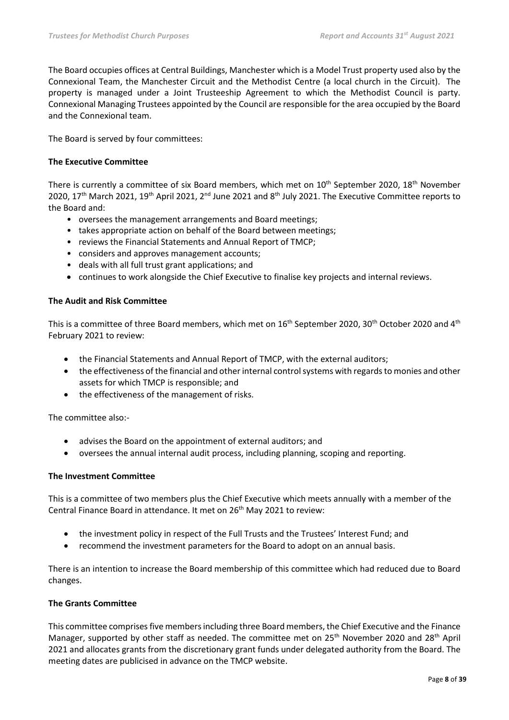The Board occupies offices at Central Buildings, Manchester which is a Model Trust property used also by the Connexional Team, the Manchester Circuit and the Methodist Centre (a local church in the Circuit). The property is managed under a Joint Trusteeship Agreement to which the Methodist Council is party. Connexional Managing Trustees appointed by the Council are responsible for the area occupied by the Board and the Connexional team.

The Board is served by four committees:

### **The Executive Committee**

There is currently a committee of six Board members, which met on 10<sup>th</sup> September 2020, 18<sup>th</sup> November 2020, 17<sup>th</sup> March 2021, 19<sup>th</sup> April 2021, 2<sup>nd</sup> June 2021 and 8<sup>th</sup> July 2021. The Executive Committee reports to the Board and:

- oversees the management arrangements and Board meetings;
- takes appropriate action on behalf of the Board between meetings;
- reviews the Financial Statements and Annual Report of TMCP;
- considers and approves management accounts;
- deals with all full trust grant applications; and
- continues to work alongside the Chief Executive to finalise key projects and internal reviews.

### **The Audit and Risk Committee**

This is a committee of three Board members, which met on 16<sup>th</sup> September 2020, 30<sup>th</sup> October 2020 and 4<sup>th</sup> February 2021 to review:

- the Financial Statements and Annual Report of TMCP, with the external auditors;
- the effectiveness of the financial and other internal control systems with regards to monies and other assets for which TMCP is responsible; and
- the effectiveness of the management of risks.

The committee also:-

- advises the Board on the appointment of external auditors; and
- oversees the annual internal audit process, including planning, scoping and reporting.

### **The Investment Committee**

This is a committee of two members plus the Chief Executive which meets annually with a member of the Central Finance Board in attendance. It met on 26<sup>th</sup> May 2021 to review:

- the investment policy in respect of the Full Trusts and the Trustees' Interest Fund; and
- recommend the investment parameters for the Board to adopt on an annual basis.

There is an intention to increase the Board membership of this committee which had reduced due to Board changes.

### **The Grants Committee**

This committee comprises five members including three Board members, the Chief Executive and the Finance Manager, supported by other staff as needed. The committee met on 25<sup>th</sup> November 2020 and 28<sup>th</sup> April 2021 and allocates grants from the discretionary grant funds under delegated authority from the Board. The meeting dates are publicised in advance on the TMCP website.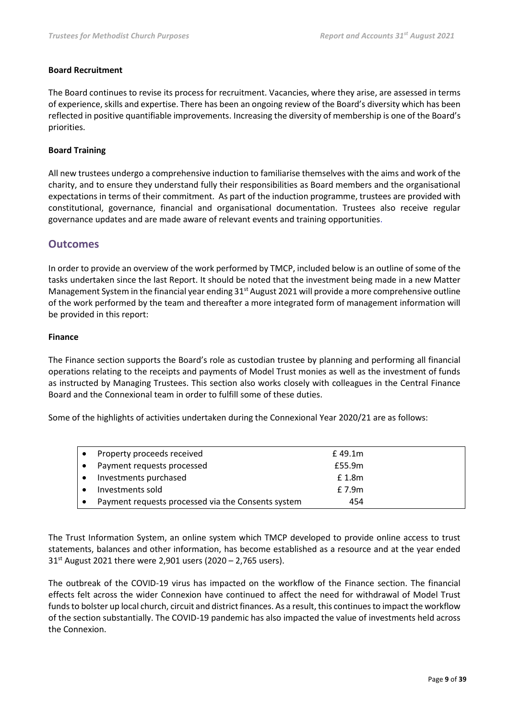### **Board Recruitment**

The Board continues to revise its process for recruitment. Vacancies, where they arise, are assessed in terms of experience, skills and expertise. There has been an ongoing review of the Board's diversity which has been reflected in positive quantifiable improvements. Increasing the diversity of membership is one of the Board's priorities.

### **Board Training**

All new trustees undergo a comprehensive induction to familiarise themselves with the aims and work of the charity, and to ensure they understand fully their responsibilities as Board members and the organisational expectations in terms of their commitment. As part of the induction programme, trustees are provided with constitutional, governance, financial and organisational documentation. Trustees also receive regular governance updates and are made aware of relevant events and training opportunities.

### **Outcomes**

In order to provide an overview of the work performed by TMCP, included below is an outline of some of the tasks undertaken since the last Report. It should be noted that the investment being made in a new Matter Management System in the financial year ending  $31<sup>st</sup>$  August 2021 will provide a more comprehensive outline of the work performed by the team and thereafter a more integrated form of management information will be provided in this report:

### **Finance**

The Finance section supports the Board's role as custodian trustee by planning and performing all financial operations relating to the receipts and payments of Model Trust monies as well as the investment of funds as instructed by Managing Trustees. This section also works closely with colleagues in the Central Finance Board and the Connexional team in order to fulfill some of these duties.

Some of the highlights of activities undertaken during the Connexional Year 2020/21 are as follows:

| Property proceeds received                         | £ 49.1m |  |
|----------------------------------------------------|---------|--|
| Payment requests processed                         | £55.9m  |  |
| Investments purchased                              | £ 1.8m  |  |
| Investments sold                                   | £ 7.9m  |  |
| Payment requests processed via the Consents system | 454     |  |

The Trust Information System, an online system which TMCP developed to provide online access to trust statements, balances and other information, has become established as a resource and at the year ended  $31<sup>st</sup>$  August 2021 there were 2,901 users (2020 – 2,765 users).

The outbreak of the COVID-19 virus has impacted on the workflow of the Finance section. The financial effects felt across the wider Connexion have continued to affect the need for withdrawal of Model Trust funds to bolster up local church, circuit and district finances. As a result, this continues to impact the workflow of the section substantially. The COVID-19 pandemic has also impacted the value of investments held across the Connexion.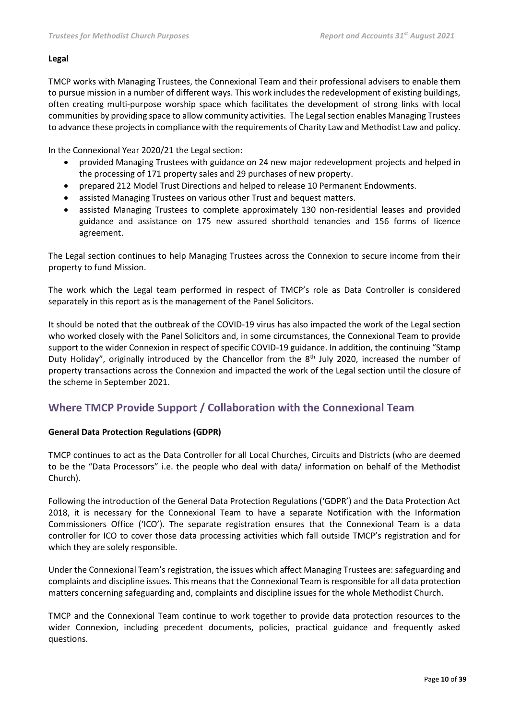### **Legal**

TMCP works with Managing Trustees, the Connexional Team and their professional advisers to enable them to pursue mission in a number of different ways. This work includes the redevelopment of existing buildings, often creating multi-purpose worship space which facilitates the development of strong links with local communities by providing space to allow community activities. The Legal section enables Managing Trustees to advance these projects in compliance with the requirements of Charity Law and Methodist Law and policy.

In the Connexional Year 2020/21 the Legal section:

- provided Managing Trustees with guidance on 24 new major redevelopment projects and helped in the processing of 171 property sales and 29 purchases of new property.
- prepared 212 Model Trust Directions and helped to release 10 Permanent Endowments.
- assisted Managing Trustees on various other Trust and bequest matters.
- assisted Managing Trustees to complete approximately 130 non-residential leases and provided guidance and assistance on 175 new assured shorthold tenancies and 156 forms of licence agreement.

The Legal section continues to help Managing Trustees across the Connexion to secure income from their property to fund Mission.

The work which the Legal team performed in respect of TMCP's role as Data Controller is considered separately in this report as is the management of the Panel Solicitors.

It should be noted that the outbreak of the COVID-19 virus has also impacted the work of the Legal section who worked closely with the Panel Solicitors and, in some circumstances, the Connexional Team to provide support to the wider Connexion in respect of specific COVID-19 guidance. In addition, the continuing "Stamp Duty Holiday", originally introduced by the Chancellor from the 8<sup>th</sup> July 2020, increased the number of property transactions across the Connexion and impacted the work of the Legal section until the closure of the scheme in September 2021.

## **Where TMCP Provide Support / Collaboration with the Connexional Team**

### **General Data Protection Regulations (GDPR)**

TMCP continues to act as the Data Controller for all Local Churches, Circuits and Districts (who are deemed to be the "Data Processors" i.e. the people who deal with data/ information on behalf of the Methodist Church).

Following the introduction of the General Data Protection Regulations ('GDPR') and the Data Protection Act 2018, it is necessary for the Connexional Team to have a separate Notification with the Information Commissioners Office ('ICO'). The separate registration ensures that the Connexional Team is a data controller for ICO to cover those data processing activities which fall outside TMCP's registration and for which they are solely responsible.

Under the Connexional Team's registration, the issues which affect Managing Trustees are: safeguarding and complaints and discipline issues. This means that the Connexional Team is responsible for all data protection matters concerning safeguarding and, complaints and discipline issues for the whole Methodist Church.

TMCP and the Connexional Team continue to work together to provide data protection resources to the wider Connexion, including precedent documents, policies, practical guidance and frequently asked questions.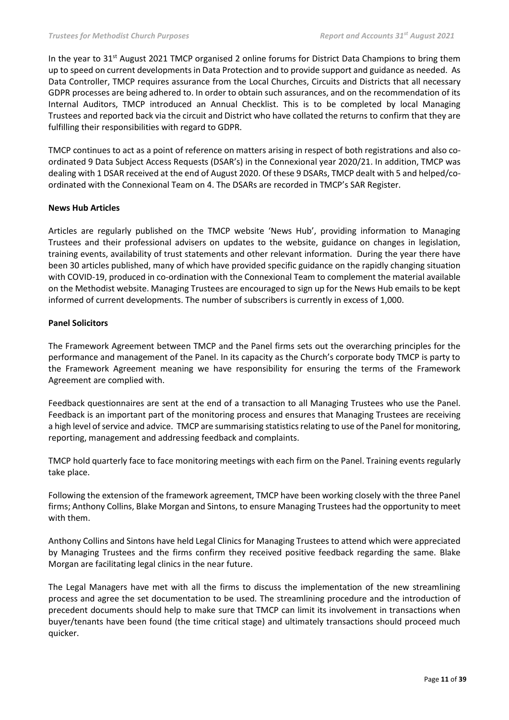In the year to 31<sup>st</sup> August 2021 TMCP organised 2 online forums for District Data Champions to bring them up to speed on current developments in Data Protection and to provide support and guidance as needed. As Data Controller, TMCP requires assurance from the Local Churches, Circuits and Districts that all necessary GDPR processes are being adhered to. In order to obtain such assurances, and on the recommendation of its Internal Auditors, TMCP introduced an Annual Checklist. This is to be completed by local Managing Trustees and reported back via the circuit and District who have collated the returns to confirm that they are fulfilling their responsibilities with regard to GDPR.

TMCP continues to act as a point of reference on matters arising in respect of both registrations and also coordinated 9 Data Subject Access Requests (DSAR's) in the Connexional year 2020/21. In addition, TMCP was dealing with 1 DSAR received at the end of August 2020. Of these 9 DSARs, TMCP dealt with 5 and helped/coordinated with the Connexional Team on 4. The DSARs are recorded in TMCP's SAR Register.

### **News Hub Articles**

Articles are regularly published on the TMCP website 'News Hub', providing information to Managing Trustees and their professional advisers on updates to the website, guidance on changes in legislation, training events, availability of trust statements and other relevant information. During the year there have been 30 articles published, many of which have provided specific guidance on the rapidly changing situation with COVID-19, produced in co-ordination with the Connexional Team to complement the material available on the Methodist website. Managing Trustees are encouraged to sign up for the News Hub emails to be kept informed of current developments. The number of subscribers is currently in excess of 1,000.

### **Panel Solicitors**

The Framework Agreement between TMCP and the Panel firms sets out the overarching principles for the performance and management of the Panel. In its capacity as the Church's corporate body TMCP is party to the Framework Agreement meaning we have responsibility for ensuring the terms of the Framework Agreement are complied with.

Feedback questionnaires are sent at the end of a transaction to all Managing Trustees who use the Panel. Feedback is an important part of the monitoring process and ensures that Managing Trustees are receiving a high level of service and advice. TMCP are summarising statistics relating to use of the Panel for monitoring, reporting, management and addressing feedback and complaints.

TMCP hold quarterly face to face monitoring meetings with each firm on the Panel. Training events regularly take place.

Following the extension of the framework agreement, TMCP have been working closely with the three Panel firms; Anthony Collins, Blake Morgan and Sintons, to ensure Managing Trustees had the opportunity to meet with them.

Anthony Collins and Sintons have held Legal Clinics for Managing Trustees to attend which were appreciated by Managing Trustees and the firms confirm they received positive feedback regarding the same. Blake Morgan are facilitating legal clinics in the near future.

The Legal Managers have met with all the firms to discuss the implementation of the new streamlining process and agree the set documentation to be used. The streamlining procedure and the introduction of precedent documents should help to make sure that TMCP can limit its involvement in transactions when buyer/tenants have been found (the time critical stage) and ultimately transactions should proceed much quicker.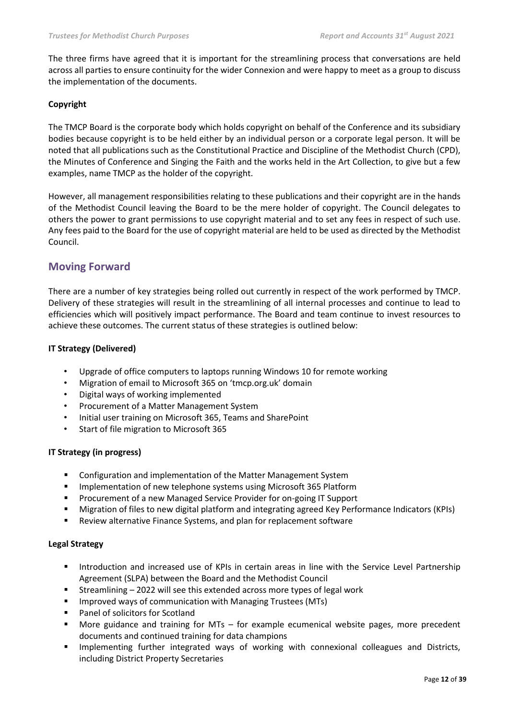The three firms have agreed that it is important for the streamlining process that conversations are held across all parties to ensure continuity for the wider Connexion and were happy to meet as a group to discuss the implementation of the documents.

### **Copyright**

The TMCP Board is the corporate body which holds copyright on behalf of the Conference and its subsidiary bodies because copyright is to be held either by an individual person or a corporate legal person. It will be noted that all publications such as the Constitutional Practice and Discipline of the Methodist Church (CPD), the Minutes of Conference and Singing the Faith and the works held in the Art Collection, to give but a few examples, name TMCP as the holder of the copyright.

However, all management responsibilities relating to these publications and their copyright are in the hands of the Methodist Council leaving the Board to be the mere holder of copyright. The Council delegates to others the power to grant permissions to use copyright material and to set any fees in respect of such use. Any fees paid to the Board for the use of copyright material are held to be used as directed by the Methodist Council.

## **Moving Forward**

There are a number of key strategies being rolled out currently in respect of the work performed by TMCP. Delivery of these strategies will result in the streamlining of all internal processes and continue to lead to efficiencies which will positively impact performance. The Board and team continue to invest resources to achieve these outcomes. The current status of these strategies is outlined below:

### **IT Strategy (Delivered)**

- Upgrade of office computers to laptops running Windows 10 for remote working
- Migration of email to Microsoft 365 on 'tmcp.org.uk' domain
- Digital ways of working implemented
- Procurement of a Matter Management System
- Initial user training on Microsoft 365, Teams and SharePoint
- Start of file migration to Microsoft 365

### **IT Strategy (in progress)**

- Configuration and implementation of the Matter Management System
- **■** Implementation of new telephone systems using Microsoft 365 Platform
- Procurement of a new Managed Service Provider for on-going IT Support
- Migration of files to new digital platform and integrating agreed Key Performance Indicators (KPIs)
- Review alternative Finance Systems, and plan for replacement software

### **Legal Strategy**

- **■** Introduction and increased use of KPIs in certain areas in line with the Service Level Partnership Agreement (SLPA) between the Board and the Methodist Council
- Streamlining 2022 will see this extended across more types of legal work
- Improved ways of communication with Managing Trustees (MTs)
- Panel of solicitors for Scotland
- More guidance and training for MTs for example ecumenical website pages, more precedent documents and continued training for data champions
- Implementing further integrated ways of working with connexional colleagues and Districts, including District Property Secretaries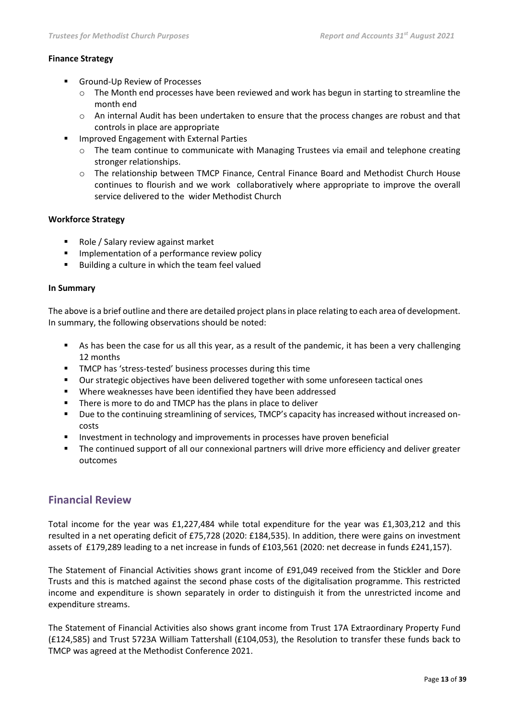### **Finance Strategy**

- Ground-Up Review of Processes
	- $\circ$  The Month end processes have been reviewed and work has begun in starting to streamline the month end
	- o An internal Audit has been undertaken to ensure that the process changes are robust and that controls in place are appropriate
- Improved Engagement with External Parties
	- o The team continue to communicate with Managing Trustees via email and telephone creating stronger relationships.
	- o The relationship between TMCP Finance, Central Finance Board and Methodist Church House continues to flourish and we work collaboratively where appropriate to improve the overall service delivered to the wider Methodist Church

### **Workforce Strategy**

- Role / Salary review against market
- Implementation of a performance review policy
- Building a culture in which the team feel valued

### **In Summary**

The above is a brief outline and there are detailed project plans in place relating to each area of development. In summary, the following observations should be noted:

- As has been the case for us all this year, as a result of the pandemic, it has been a very challenging 12 months
- TMCP has 'stress-tested' business processes during this time
- Our strategic objectives have been delivered together with some unforeseen tactical ones
- Where weaknesses have been identified they have been addressed
- There is more to do and TMCP has the plans in place to deliver
- Due to the continuing streamlining of services, TMCP's capacity has increased without increased oncosts
- Investment in technology and improvements in processes have proven beneficial
- The continued support of all our connexional partners will drive more efficiency and deliver greater outcomes

### **Financial Review**

Total income for the year was £1,227,484 while total expenditure for the year was £1,303,212 and this resulted in a net operating deficit of £75,728 (2020: £184,535). In addition, there were gains on investment assets of £179,289 leading to a net increase in funds of £103,561 (2020: net decrease in funds £241,157).

The Statement of Financial Activities shows grant income of £91,049 received from the Stickler and Dore Trusts and this is matched against the second phase costs of the digitalisation programme. This restricted income and expenditure is shown separately in order to distinguish it from the unrestricted income and expenditure streams.

The Statement of Financial Activities also shows grant income from Trust 17A Extraordinary Property Fund (£124,585) and Trust 5723A William Tattershall (£104,053), the Resolution to transfer these funds back to TMCP was agreed at the Methodist Conference 2021.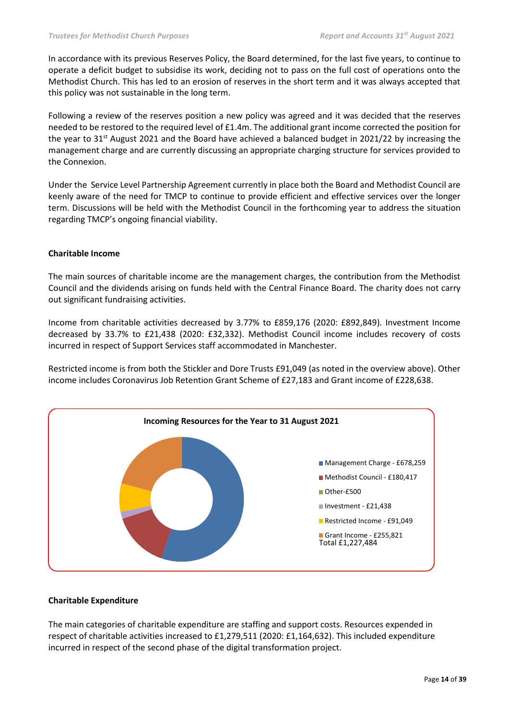In accordance with its previous Reserves Policy, the Board determined, for the last five years, to continue to operate a deficit budget to subsidise its work, deciding not to pass on the full cost of operations onto the Methodist Church. This has led to an erosion of reserves in the short term and it was always accepted that this policy was not sustainable in the long term.

Following a review of the reserves position a new policy was agreed and it was decided that the reserves needed to be restored to the required level of £1.4m. The additional grant income corrected the position for the year to 31<sup>st</sup> August 2021 and the Board have achieved a balanced budget in 2021/22 by increasing the management charge and are currently discussing an appropriate charging structure for services provided to the Connexion.

Under the Service Level Partnership Agreement currently in place both the Board and Methodist Council are keenly aware of the need for TMCP to continue to provide efficient and effective services over the longer term. Discussions will be held with the Methodist Council in the forthcoming year to address the situation regarding TMCP's ongoing financial viability.

### **Charitable Income**

The main sources of charitable income are the management charges, the contribution from the Methodist Council and the dividends arising on funds held with the Central Finance Board. The charity does not carry out significant fundraising activities.

Income from charitable activities decreased by 3.77% to £859,176 (2020: £892,849)*.* Investment Income decreased by 33.7% to £21,438 (2020: £32,332). Methodist Council income includes recovery of costs incurred in respect of Support Services staff accommodated in Manchester.

Restricted income is from both the Stickler and Dore Trusts £91,049 (as noted in the overview above). Other income includes Coronavirus Job Retention Grant Scheme of £27,183 and Grant income of £228,638.



### **Charitable Expenditure**

The main categories of charitable expenditure are staffing and support costs. Resources expended in respect of charitable activities increased to £1,279,511 (2020: £1,164,632). This included expenditure incurred in respect of the second phase of the digital transformation project.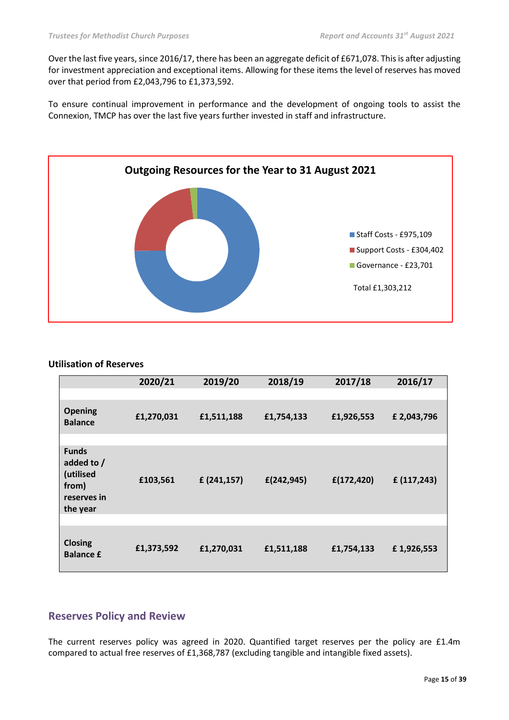Over the last five years, since 2016/17, there has been an aggregate deficit of £671,078. This is after adjusting for investment appreciation and exceptional items. Allowing for these items the level of reserves has moved over that period from £2,043,796 to £1,373,592.

To ensure continual improvement in performance and the development of ongoing tools to assist the Connexion, TMCP has over the last five years further invested in staff and infrastructure.



### **Utilisation of Reserves**

|                                                                             | 2020/21    | 2019/20    | 2018/19     | 2017/18     | 2016/17     |
|-----------------------------------------------------------------------------|------------|------------|-------------|-------------|-------------|
|                                                                             |            |            |             |             |             |
| <b>Opening</b><br><b>Balance</b>                                            | £1,270,031 | £1,511,188 | £1,754,133  | £1,926,553  | £ 2,043,796 |
|                                                                             |            |            |             |             |             |
| <b>Funds</b><br>added to /<br>(utilised<br>from)<br>reserves in<br>the year | £103,561   | f(241,157) | f(242, 945) | f(172, 420) | f(117,243)  |
|                                                                             |            |            |             |             |             |
| <b>Closing</b><br><b>Balance £</b>                                          | £1,373,592 | £1,270,031 | £1,511,188  | £1,754,133  | £1,926,553  |

### **Reserves Policy and Review**

The current reserves policy was agreed in 2020. Quantified target reserves per the policy are £1.4m compared to actual free reserves of £1,368,787 (excluding tangible and intangible fixed assets).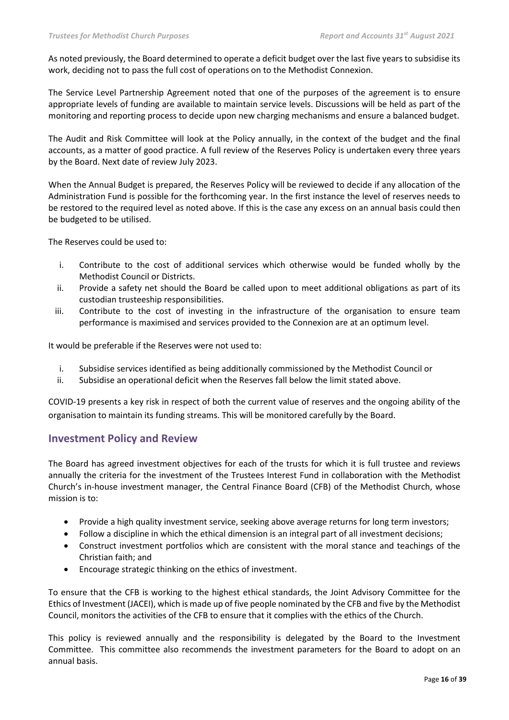As noted previously, the Board determined to operate a deficit budget over the last five years to subsidise its work, deciding not to pass the full cost of operations on to the Methodist Connexion.

The Service Level Partnership Agreement noted that one of the purposes of the agreement is to ensure appropriate levels of funding are available to maintain service levels. Discussions will be held as part of the monitoring and reporting process to decide upon new charging mechanisms and ensure a balanced budget.

The Audit and Risk Committee will look at the Policy annually, in the context of the budget and the final accounts, as a matter of good practice. A full review of the Reserves Policy is undertaken every three years by the Board. Next date of review July 2023.

When the Annual Budget is prepared, the Reserves Policy will be reviewed to decide if any allocation of the Administration Fund is possible for the forthcoming year. In the first instance the level of reserves needs to be restored to the required level as noted above. If this is the case any excess on an annual basis could then be budgeted to be utilised.

The Reserves could be used to:

- i. Contribute to the cost of additional services which otherwise would be funded wholly by the Methodist Council or Districts.
- ii. Provide a safety net should the Board be called upon to meet additional obligations as part of its custodian trusteeship responsibilities.
- iii. Contribute to the cost of investing in the infrastructure of the organisation to ensure team performance is maximised and services provided to the Connexion are at an optimum level.

It would be preferable if the Reserves were not used to:

- i. Subsidise services identified as being additionally commissioned by the Methodist Council or
- ii. Subsidise an operational deficit when the Reserves fall below the limit stated above.

COVID-19 presents a key risk in respect of both the current value of reserves and the ongoing ability of the organisation to maintain its funding streams. This will be monitored carefully by the Board.

### **Investment Policy and Review**

The Board has agreed investment objectives for each of the trusts for which it is full trustee and reviews annually the criteria for the investment of the Trustees Interest Fund in collaboration with the Methodist Church's in-house investment manager, the Central Finance Board (CFB) of the Methodist Church, whose mission is to:

- Provide a high quality investment service, seeking above average returns for long term investors;
- Follow a discipline in which the ethical dimension is an integral part of all investment decisions;
- Construct investment portfolios which are consistent with the moral stance and teachings of the Christian faith; and
- Encourage strategic thinking on the ethics of investment.

To ensure that the CFB is working to the highest ethical standards, the Joint Advisory Committee for the Ethics of Investment (JACEI), which is made up of five people nominated by the CFB and five by the Methodist Council, monitors the activities of the CFB to ensure that it complies with the ethics of the Church.

This policy is reviewed annually and the responsibility is delegated by the Board to the Investment Committee. This committee also recommends the investment parameters for the Board to adopt on an annual basis.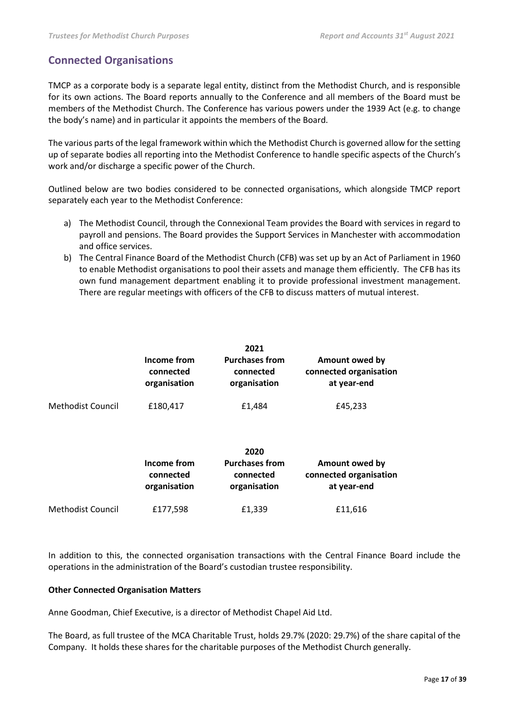## **Connected Organisations**

TMCP as a corporate body is a separate legal entity, distinct from the Methodist Church, and is responsible for its own actions. The Board reports annually to the Conference and all members of the Board must be members of the Methodist Church. The Conference has various powers under the 1939 Act (e.g. to change the body's name) and in particular it appoints the members of the Board.

The various parts of the legal framework within which the Methodist Church is governed allow for the setting up of separate bodies all reporting into the Methodist Conference to handle specific aspects of the Church's work and/or discharge a specific power of the Church.

Outlined below are two bodies considered to be connected organisations, which alongside TMCP report separately each year to the Methodist Conference:

- a) The Methodist Council, through the Connexional Team provides the Board with services in regard to payroll and pensions. The Board provides the Support Services in Manchester with accommodation and office services.
- b) The Central Finance Board of the Methodist Church (CFB) was set up by an Act of Parliament in 1960 to enable Methodist organisations to pool their assets and manage them efficiently. The CFB has its own fund management department enabling it to provide professional investment management. There are regular meetings with officers of the CFB to discuss matters of mutual interest.

|                          | Income from<br>connected<br>organisation | 2021<br><b>Purchases from</b><br>connected<br>organisation | Amount owed by<br>connected organisation<br>at year-end |
|--------------------------|------------------------------------------|------------------------------------------------------------|---------------------------------------------------------|
| <b>Methodist Council</b> | £180,417                                 | £1,484                                                     | £45,233                                                 |
|                          | Income from<br>connected<br>organisation | 2020<br><b>Purchases from</b><br>connected<br>organisation | Amount owed by<br>connected organisation<br>at year-end |
| <b>Methodist Council</b> | £177,598                                 | £1,339                                                     | £11,616                                                 |

In addition to this, the connected organisation transactions with the Central Finance Board include the operations in the administration of the Board's custodian trustee responsibility.

### **Other Connected Organisation Matters**

Anne Goodman, Chief Executive, is a director of Methodist Chapel Aid Ltd.

The Board, as full trustee of the MCA Charitable Trust, holds 29.7% (2020: 29.7%) of the share capital of the Company. It holds these shares for the charitable purposes of the Methodist Church generally.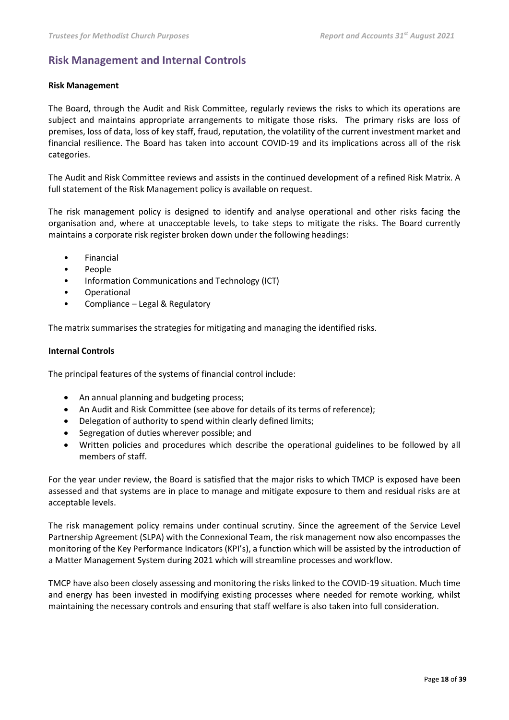## **Risk Management and Internal Controls**

### **Risk Management**

The Board, through the Audit and Risk Committee, regularly reviews the risks to which its operations are subject and maintains appropriate arrangements to mitigate those risks. The primary risks are loss of premises, loss of data, loss of key staff, fraud, reputation, the volatility of the current investment market and financial resilience. The Board has taken into account COVID-19 and its implications across all of the risk categories.

The Audit and Risk Committee reviews and assists in the continued development of a refined Risk Matrix. A full statement of the Risk Management policy is available on request.

The risk management policy is designed to identify and analyse operational and other risks facing the organisation and, where at unacceptable levels, to take steps to mitigate the risks. The Board currently maintains a corporate risk register broken down under the following headings:

- Financial
- People
- Information Communications and Technology (ICT)
- Operational
- Compliance Legal & Regulatory

The matrix summarises the strategies for mitigating and managing the identified risks.

### **Internal Controls**

The principal features of the systems of financial control include:

- An annual planning and budgeting process;
- An Audit and Risk Committee (see above for details of its terms of reference);
- Delegation of authority to spend within clearly defined limits;
- Segregation of duties wherever possible; and
- Written policies and procedures which describe the operational guidelines to be followed by all members of staff.

For the year under review, the Board is satisfied that the major risks to which TMCP is exposed have been assessed and that systems are in place to manage and mitigate exposure to them and residual risks are at acceptable levels.

The risk management policy remains under continual scrutiny. Since the agreement of the Service Level Partnership Agreement (SLPA) with the Connexional Team, the risk management now also encompasses the monitoring of the Key Performance Indicators (KPI's), a function which will be assisted by the introduction of a Matter Management System during 2021 which will streamline processes and workflow.

TMCP have also been closely assessing and monitoring the risks linked to the COVID-19 situation. Much time and energy has been invested in modifying existing processes where needed for remote working, whilst maintaining the necessary controls and ensuring that staff welfare is also taken into full consideration.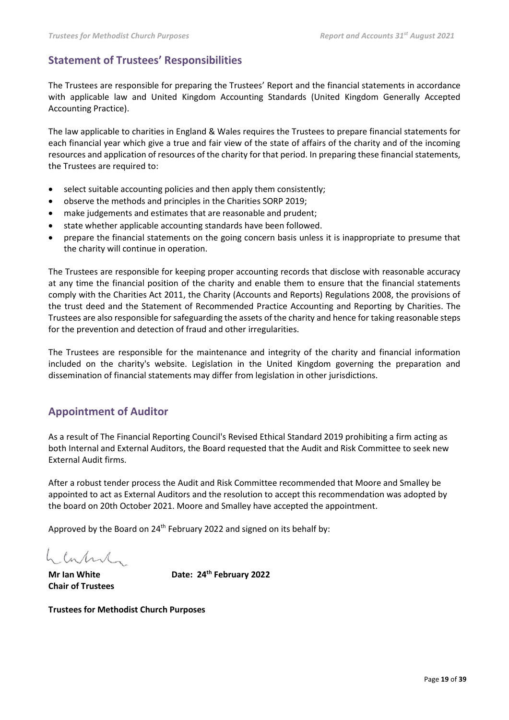## **Statement of Trustees' Responsibilities**

The Trustees are responsible for preparing the Trustees' Report and the financial statements in accordance with applicable law and United Kingdom Accounting Standards (United Kingdom Generally Accepted Accounting Practice).

The law applicable to charities in England & Wales requires the Trustees to prepare financial statements for each financial year which give a true and fair view of the state of affairs of the charity and of the incoming resources and application of resources of the charity for that period. In preparing these financial statements, the Trustees are required to:

- select suitable accounting policies and then apply them consistently;
- observe the methods and principles in the Charities SORP 2019;
- make judgements and estimates that are reasonable and prudent;
- state whether applicable accounting standards have been followed.
- prepare the financial statements on the going concern basis unless it is inappropriate to presume that the charity will continue in operation.

The Trustees are responsible for keeping proper accounting records that disclose with reasonable accuracy at any time the financial position of the charity and enable them to ensure that the financial statements comply with the Charities Act 2011, the Charity (Accounts and Reports) Regulations 2008, the provisions of the trust deed and the Statement of Recommended Practice Accounting and Reporting by Charities. The Trustees are also responsible for safeguarding the assets of the charity and hence for taking reasonable steps for the prevention and detection of fraud and other irregularities.

The Trustees are responsible for the maintenance and integrity of the charity and financial information included on the charity's website. Legislation in the United Kingdom governing the preparation and dissemination of financial statements may differ from legislation in other jurisdictions.

## **Appointment of Auditor**

As a result of The Financial Reporting Council's Revised Ethical Standard 2019 prohibiting a firm acting as both Internal and External Auditors, the Board requested that the Audit and Risk Committee to seek new External Audit firms.

After a robust tender process the Audit and Risk Committee recommended that Moore and Smalley be appointed to act as External Auditors and the resolution to accept this recommendation was adopted by the board on 20th October 2021. Moore and Smalley have accepted the appointment.

Approved by the Board on 24<sup>th</sup> February 2022 and signed on its behalf by:

charland.

**Chair of Trustees**

**Mr Ian White Date: 24th February 2022**

**Trustees for Methodist Church Purposes**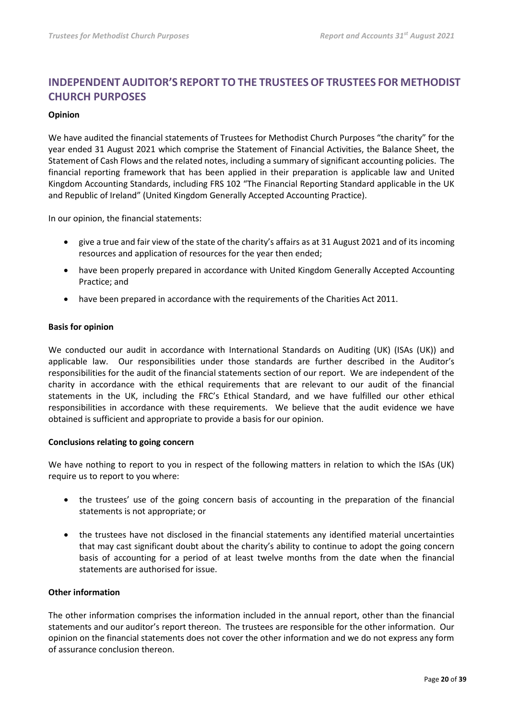## **INDEPENDENT AUDITOR'S REPORT TO THE TRUSTEES OF TRUSTEES FOR METHODIST CHURCH PURPOSES**

### **Opinion**

We have audited the financial statements of Trustees for Methodist Church Purposes "the charity" for the year ended 31 August 2021 which comprise the Statement of Financial Activities, the Balance Sheet, the Statement of Cash Flows and the related notes, including a summary of significant accounting policies. The financial reporting framework that has been applied in their preparation is applicable law and United Kingdom Accounting Standards, including FRS 102 "The Financial Reporting Standard applicable in the UK and Republic of Ireland" (United Kingdom Generally Accepted Accounting Practice).

In our opinion, the financial statements:

- give a true and fair view of the state of the charity's affairs as at 31 August 2021 and of its incoming resources and application of resources for the year then ended;
- have been properly prepared in accordance with United Kingdom Generally Accepted Accounting Practice; and
- have been prepared in accordance with the requirements of the Charities Act 2011.

### **Basis for opinion**

We conducted our audit in accordance with International Standards on Auditing (UK) (ISAs (UK)) and applicable law. Our responsibilities under those standards are further described in the Auditor's responsibilities for the audit of the financial statements section of our report. We are independent of the charity in accordance with the ethical requirements that are relevant to our audit of the financial statements in the UK, including the FRC's Ethical Standard, and we have fulfilled our other ethical responsibilities in accordance with these requirements. We believe that the audit evidence we have obtained is sufficient and appropriate to provide a basis for our opinion.

### **Conclusions relating to going concern**

We have nothing to report to you in respect of the following matters in relation to which the ISAs (UK) require us to report to you where:

- the trustees' use of the going concern basis of accounting in the preparation of the financial statements is not appropriate; or
- the trustees have not disclosed in the financial statements any identified material uncertainties that may cast significant doubt about the charity's ability to continue to adopt the going concern basis of accounting for a period of at least twelve months from the date when the financial statements are authorised for issue.

### **Other information**

The other information comprises the information included in the annual report, other than the financial statements and our auditor's report thereon. The trustees are responsible for the other information. Our opinion on the financial statements does not cover the other information and we do not express any form of assurance conclusion thereon.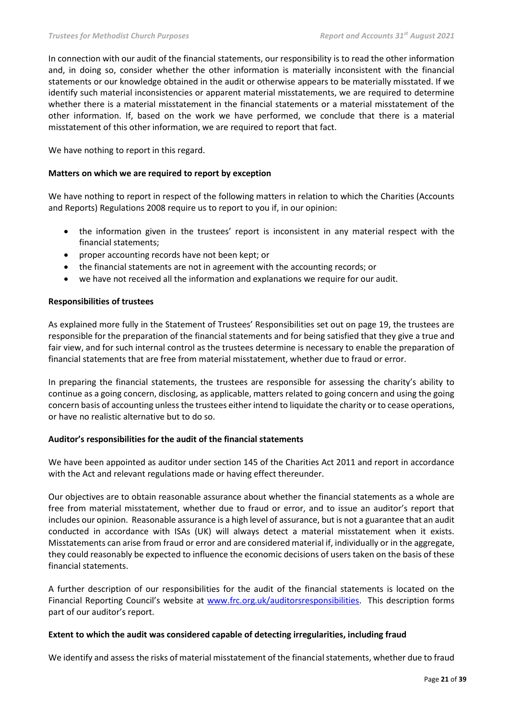In connection with our audit of the financial statements, our responsibility is to read the other information and, in doing so, consider whether the other information is materially inconsistent with the financial statements or our knowledge obtained in the audit or otherwise appears to be materially misstated. If we identify such material inconsistencies or apparent material misstatements, we are required to determine whether there is a material misstatement in the financial statements or a material misstatement of the other information. If, based on the work we have performed, we conclude that there is a material misstatement of this other information, we are required to report that fact.

We have nothing to report in this regard.

### **Matters on which we are required to report by exception**

We have nothing to report in respect of the following matters in relation to which the Charities (Accounts and Reports) Regulations 2008 require us to report to you if, in our opinion:

- the information given in the trustees' report is inconsistent in any material respect with the financial statements;
- proper accounting records have not been kept; or
- the financial statements are not in agreement with the accounting records; or
- we have not received all the information and explanations we require for our audit.

### **Responsibilities of trustees**

As explained more fully in the Statement of Trustees' Responsibilities set out on page 19, the trustees are responsible for the preparation of the financial statements and for being satisfied that they give a true and fair view, and for such internal control as the trustees determine is necessary to enable the preparation of financial statements that are free from material misstatement, whether due to fraud or error.

In preparing the financial statements, the trustees are responsible for assessing the charity's ability to continue as a going concern, disclosing, as applicable, matters related to going concern and using the going concern basis of accounting unless the trustees either intend to liquidate the charity or to cease operations, or have no realistic alternative but to do so.

### **Auditor's responsibilities for the audit of the financial statements**

We have been appointed as auditor under section 145 of the Charities Act 2011 and report in accordance with the Act and relevant regulations made or having effect thereunder.

Our objectives are to obtain reasonable assurance about whether the financial statements as a whole are free from material misstatement, whether due to fraud or error, and to issue an auditor's report that includes our opinion. Reasonable assurance is a high level of assurance, but is not a guarantee that an audit conducted in accordance with ISAs (UK) will always detect a material misstatement when it exists. Misstatements can arise from fraud or error and are considered material if, individually or in the aggregate, they could reasonably be expected to influence the economic decisions of users taken on the basis of these financial statements.

A further description of our responsibilities for the audit of the financial statements is located on the Financial Reporting Council's website at [www.frc.org.uk/auditorsresponsibilities.](http://www.frc.org.uk/auditorsresponsibilities) This description forms part of our auditor's report.

### **Extent to which the audit was considered capable of detecting irregularities, including fraud**

We identify and assess the risks of material misstatement of the financial statements, whether due to fraud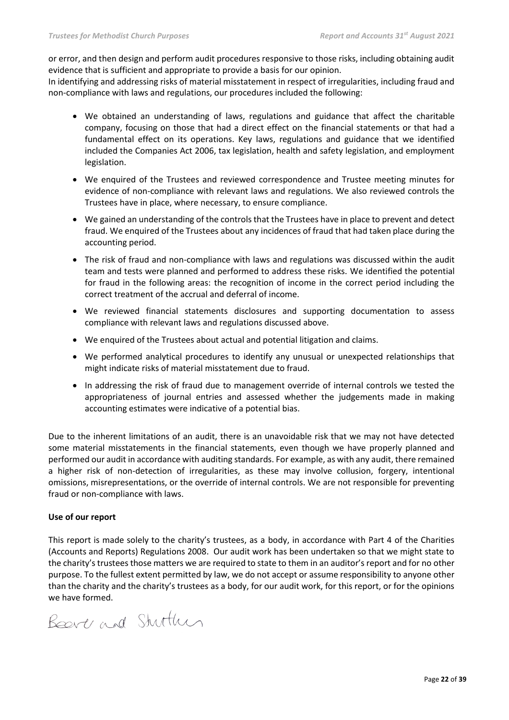or error, and then design and perform audit procedures responsive to those risks, including obtaining audit evidence that is sufficient and appropriate to provide a basis for our opinion.

In identifying and addressing risks of material misstatement in respect of irregularities, including fraud and non-compliance with laws and regulations, our procedures included the following:

- We obtained an understanding of laws, regulations and guidance that affect the charitable company, focusing on those that had a direct effect on the financial statements or that had a fundamental effect on its operations. Key laws, regulations and guidance that we identified included the Companies Act 2006, tax legislation, health and safety legislation, and employment legislation.
- We enquired of the Trustees and reviewed correspondence and Trustee meeting minutes for evidence of non-compliance with relevant laws and regulations. We also reviewed controls the Trustees have in place, where necessary, to ensure compliance.
- We gained an understanding of the controls that the Trustees have in place to prevent and detect fraud. We enquired of the Trustees about any incidences of fraud that had taken place during the accounting period.
- The risk of fraud and non-compliance with laws and regulations was discussed within the audit team and tests were planned and performed to address these risks. We identified the potential for fraud in the following areas: the recognition of income in the correct period including the correct treatment of the accrual and deferral of income.
- We reviewed financial statements disclosures and supporting documentation to assess compliance with relevant laws and regulations discussed above.
- We enquired of the Trustees about actual and potential litigation and claims.
- We performed analytical procedures to identify any unusual or unexpected relationships that might indicate risks of material misstatement due to fraud.
- In addressing the risk of fraud due to management override of internal controls we tested the appropriateness of journal entries and assessed whether the judgements made in making accounting estimates were indicative of a potential bias.

Due to the inherent limitations of an audit, there is an unavoidable risk that we may not have detected some material misstatements in the financial statements, even though we have properly planned and performed our audit in accordance with auditing standards. For example, as with any audit, there remained a higher risk of non-detection of irregularities, as these may involve collusion, forgery, intentional omissions, misrepresentations, or the override of internal controls. We are not responsible for preventing fraud or non-compliance with laws.

### **Use of our report**

This report is made solely to the charity's trustees, as a body, in accordance with Part 4 of the Charities (Accounts and Reports) Regulations 2008. Our audit work has been undertaken so that we might state to the charity's trustees those matters we are required to state to them in an auditor's report and for no other purpose. To the fullest extent permitted by law, we do not accept or assume responsibility to anyone other than the charity and the charity's trustees as a body, for our audit work, for this report, or for the opinions we have formed.

Beart and Stuttun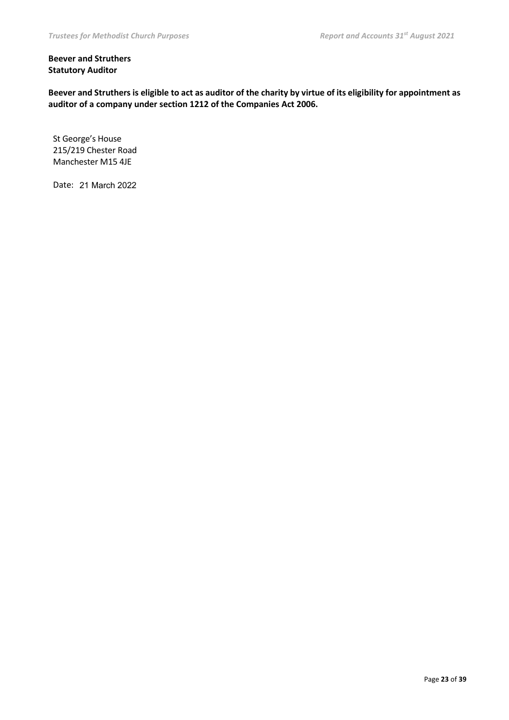### **Beever and Struthers Statutory Auditor**

**Beever and Struthers is eligible to act as auditor of the charity by virtue of its eligibility for appointment as auditor of a company under section 1212 of the Companies Act 2006.**

St George's House 215/219 Chester Road Manchester M15 4JE

Date: 21 March 2022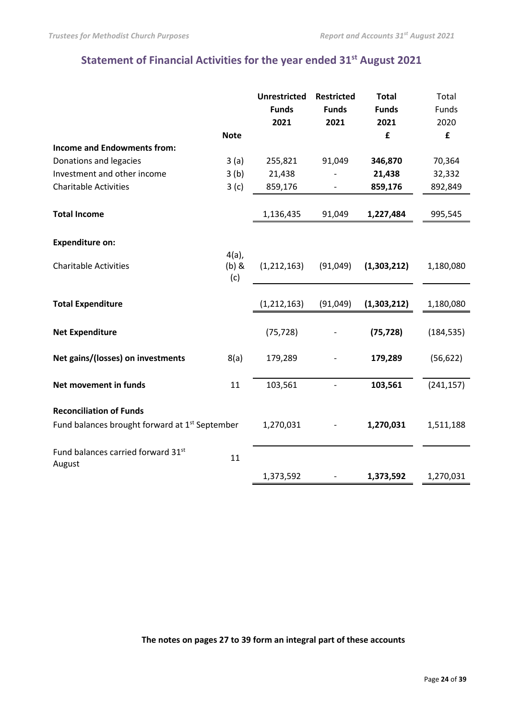## **Statement of Financial Activities for the year ended 31st August 2021**

|                                                            |                            | <b>Unrestricted</b> | <b>Restricted</b>        | <b>Total</b> | Total      |
|------------------------------------------------------------|----------------------------|---------------------|--------------------------|--------------|------------|
|                                                            |                            | <b>Funds</b>        | <b>Funds</b>             | <b>Funds</b> | Funds      |
|                                                            |                            | 2021                | 2021                     | 2021         | 2020       |
|                                                            | <b>Note</b>                |                     |                          | £            | £          |
| <b>Income and Endowments from:</b>                         |                            |                     |                          |              |            |
| Donations and legacies                                     | 3(a)                       | 255,821             | 91,049                   | 346,870      | 70,364     |
| Investment and other income                                | 3(b)                       | 21,438              |                          | 21,438       | 32,332     |
| <b>Charitable Activities</b>                               | 3(c)                       | 859,176             | $\overline{\phantom{a}}$ | 859,176      | 892,849    |
| <b>Total Income</b>                                        |                            | 1,136,435           | 91,049                   | 1,227,484    | 995,545    |
| <b>Expenditure on:</b>                                     |                            |                     |                          |              |            |
| <b>Charitable Activities</b>                               | $4(a)$ ,<br>$(b)$ &<br>(c) | (1, 212, 163)       | (91,049)                 | (1,303,212)  | 1,180,080  |
| <b>Total Expenditure</b>                                   |                            | (1, 212, 163)       | (91, 049)                | (1,303,212)  | 1,180,080  |
| <b>Net Expenditure</b>                                     |                            | (75, 728)           |                          | (75, 728)    | (184, 535) |
| Net gains/(losses) on investments                          | 8(a)                       | 179,289             |                          | 179,289      | (56, 622)  |
| Net movement in funds                                      | 11                         | 103,561             |                          | 103,561      | (241, 157) |
| <b>Reconciliation of Funds</b>                             |                            |                     |                          |              |            |
| Fund balances brought forward at 1 <sup>st</sup> September |                            | 1,270,031           |                          | 1,270,031    | 1,511,188  |
| Fund balances carried forward 31st<br>August               | 11                         |                     |                          |              |            |
|                                                            |                            | 1,373,592           |                          | 1,373,592    | 1,270,031  |

**The notes on pages 27 to 39 form an integral part of these accounts**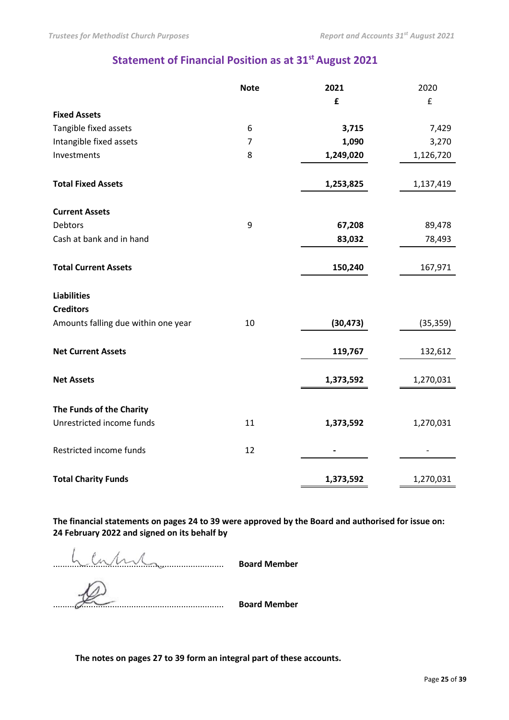## **Statement of Financial Position as at 31st August 2021**

|                                     | <b>Note</b> | 2021      | 2020      |
|-------------------------------------|-------------|-----------|-----------|
|                                     |             | £         | £         |
| <b>Fixed Assets</b>                 |             |           |           |
| Tangible fixed assets               | 6           | 3,715     | 7,429     |
| Intangible fixed assets             | 7           | 1,090     | 3,270     |
| Investments                         | 8           | 1,249,020 | 1,126,720 |
| <b>Total Fixed Assets</b>           |             | 1,253,825 | 1,137,419 |
| <b>Current Assets</b>               |             |           |           |
| <b>Debtors</b>                      | 9           | 67,208    | 89,478    |
| Cash at bank and in hand            |             | 83,032    | 78,493    |
| <b>Total Current Assets</b>         |             | 150,240   | 167,971   |
| <b>Liabilities</b>                  |             |           |           |
| <b>Creditors</b>                    |             |           |           |
| Amounts falling due within one year | 10          | (30, 473) | (35, 359) |
| <b>Net Current Assets</b>           |             | 119,767   | 132,612   |
| <b>Net Assets</b>                   |             | 1,373,592 | 1,270,031 |
| The Funds of the Charity            |             |           |           |
| Unrestricted income funds           | 11          | 1,373,592 | 1,270,031 |
| Restricted income funds             | 12          |           |           |
| <b>Total Charity Funds</b>          |             | 1,373,592 | 1,270,031 |

**The financial statements on pages 24 to 39 were approved by the Board and authorised for issue on: 24 February 2022 and signed on its behalf by**

........................................................................ **Board Member**

........................................................................ **Board Member**

**The notes on pages 27 to 39 form an integral part of these accounts.**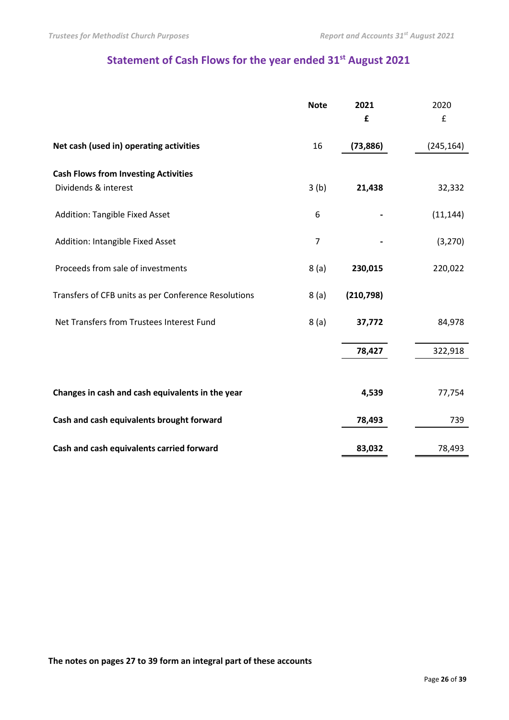## **Statement of Cash Flows for the year ended 31st August 2021**

|                                                      | <b>Note</b>    | 2021       | 2020       |
|------------------------------------------------------|----------------|------------|------------|
|                                                      |                | £          | £          |
| Net cash (used in) operating activities              | 16             | (73, 886)  | (245, 164) |
| <b>Cash Flows from Investing Activities</b>          |                |            |            |
| Dividends & interest                                 | 3(b)           | 21,438     | 32,332     |
| <b>Addition: Tangible Fixed Asset</b>                | 6              |            | (11, 144)  |
| Addition: Intangible Fixed Asset                     | $\overline{7}$ |            | (3, 270)   |
| Proceeds from sale of investments                    | 8(a)           | 230,015    | 220,022    |
| Transfers of CFB units as per Conference Resolutions | 8(a)           | (210, 798) |            |
| Net Transfers from Trustees Interest Fund            | 8(a)           | 37,772     | 84,978     |
|                                                      |                | 78,427     | 322,918    |
|                                                      |                |            |            |
| Changes in cash and cash equivalents in the year     |                | 4,539      | 77,754     |
| Cash and cash equivalents brought forward            |                | 78,493     | 739        |
| Cash and cash equivalents carried forward            |                | 83,032     | 78,493     |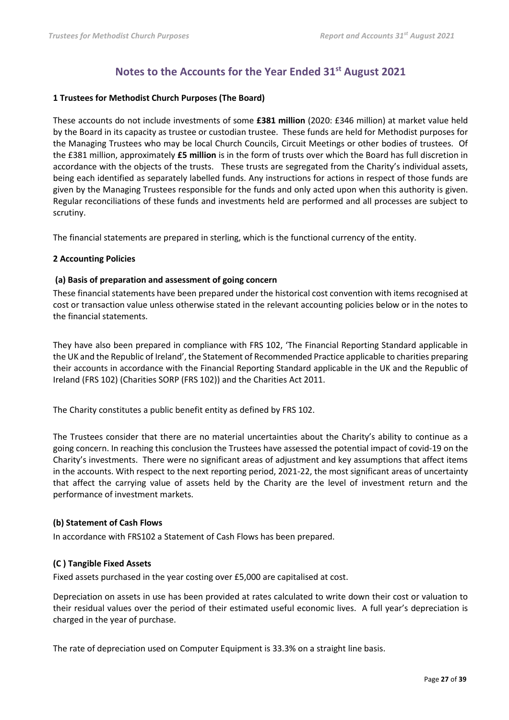## **Notes to the Accounts for the Year Ended 31st August 2021**

### **1 Trustees for Methodist Church Purposes (The Board)**

These accounts do not include investments of some **£381 million** (2020: £346 million) at market value held by the Board in its capacity as trustee or custodian trustee. These funds are held for Methodist purposes for the Managing Trustees who may be local Church Councils, Circuit Meetings or other bodies of trustees. Of the £381 million, approximately **£5 million** is in the form of trusts over which the Board has full discretion in accordance with the objects of the trusts. These trusts are segregated from the Charity's individual assets, being each identified as separately labelled funds. Any instructions for actions in respect of those funds are given by the Managing Trustees responsible for the funds and only acted upon when this authority is given. Regular reconciliations of these funds and investments held are performed and all processes are subject to scrutiny.

The financial statements are prepared in sterling, which is the functional currency of the entity.

### **2 Accounting Policies**

### **(a) Basis of preparation and assessment of going concern**

These financial statements have been prepared under the historical cost convention with items recognised at cost or transaction value unless otherwise stated in the relevant accounting policies below or in the notes to the financial statements.

They have also been prepared in compliance with FRS 102, 'The Financial Reporting Standard applicable in the UK and the Republic of Ireland', the Statement of Recommended Practice applicable to charities preparing their accounts in accordance with the Financial Reporting Standard applicable in the UK and the Republic of Ireland (FRS 102) (Charities SORP (FRS 102)) and the Charities Act 2011.

The Charity constitutes a public benefit entity as defined by FRS 102.

The Trustees consider that there are no material uncertainties about the Charity's ability to continue as a going concern. In reaching this conclusion the Trustees have assessed the potential impact of covid-19 on the Charity's investments. There were no significant areas of adjustment and key assumptions that affect items in the accounts. With respect to the next reporting period, 2021-22, the most significant areas of uncertainty that affect the carrying value of assets held by the Charity are the level of investment return and the performance of investment markets.

### **(b) Statement of Cash Flows**

In accordance with FRS102 a Statement of Cash Flows has been prepared.

### **(C ) Tangible Fixed Assets**

Fixed assets purchased in the year costing over £5,000 are capitalised at cost.

Depreciation on assets in use has been provided at rates calculated to write down their cost or valuation to their residual values over the period of their estimated useful economic lives. A full year's depreciation is charged in the year of purchase.

The rate of depreciation used on Computer Equipment is 33.3% on a straight line basis.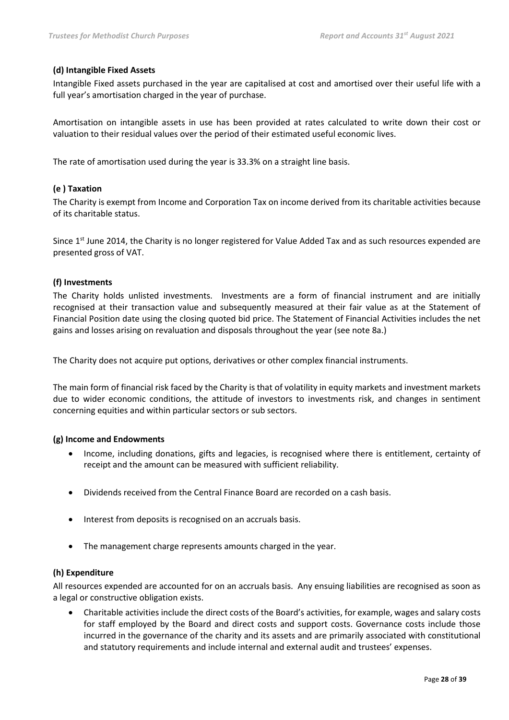### **(d) Intangible Fixed Assets**

Intangible Fixed assets purchased in the year are capitalised at cost and amortised over their useful life with a full year's amortisation charged in the year of purchase.

Amortisation on intangible assets in use has been provided at rates calculated to write down their cost or valuation to their residual values over the period of their estimated useful economic lives.

The rate of amortisation used during the year is 33.3% on a straight line basis.

### **(e ) Taxation**

The Charity is exempt from Income and Corporation Tax on income derived from its charitable activities because of its charitable status.

Since 1<sup>st</sup> June 2014, the Charity is no longer registered for Value Added Tax and as such resources expended are presented gross of VAT.

### **(f) Investments**

The Charity holds unlisted investments. Investments are a form of financial instrument and are initially recognised at their transaction value and subsequently measured at their fair value as at the Statement of Financial Position date using the closing quoted bid price. The Statement of Financial Activities includes the net gains and losses arising on revaluation and disposals throughout the year (see note 8a.)

The Charity does not acquire put options, derivatives or other complex financial instruments.

The main form of financial risk faced by the Charity is that of volatility in equity markets and investment markets due to wider economic conditions, the attitude of investors to investments risk, and changes in sentiment concerning equities and within particular sectors or sub sectors.

### **(g) Income and Endowments**

- Income, including donations, gifts and legacies, is recognised where there is entitlement, certainty of receipt and the amount can be measured with sufficient reliability.
- Dividends received from the Central Finance Board are recorded on a cash basis.
- Interest from deposits is recognised on an accruals basis.
- The management charge represents amounts charged in the year.

### **(h) Expenditure**

All resources expended are accounted for on an accruals basis. Any ensuing liabilities are recognised as soon as a legal or constructive obligation exists.

• Charitable activities include the direct costs of the Board's activities, for example, wages and salary costs for staff employed by the Board and direct costs and support costs. Governance costs include those incurred in the governance of the charity and its assets and are primarily associated with constitutional and statutory requirements and include internal and external audit and trustees' expenses.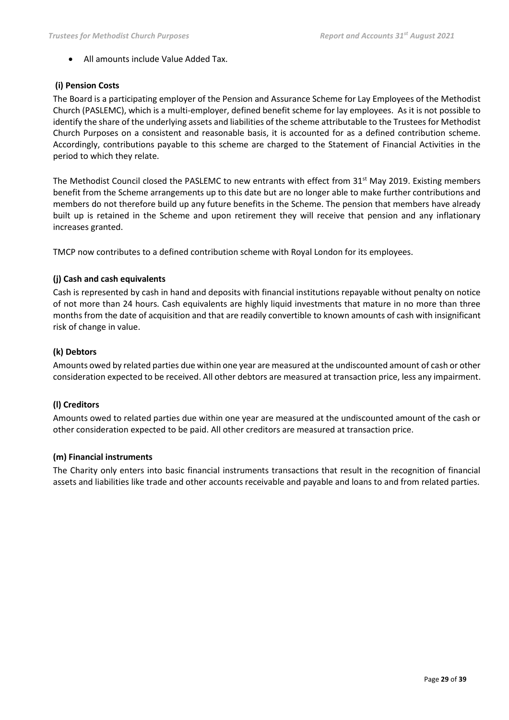• All amounts include Value Added Tax.

### **(i) Pension Costs**

The Board is a participating employer of the Pension and Assurance Scheme for Lay Employees of the Methodist Church (PASLEMC), which is a multi-employer, defined benefit scheme for lay employees. As it is not possible to identify the share of the underlying assets and liabilities of the scheme attributable to the Trustees for Methodist Church Purposes on a consistent and reasonable basis, it is accounted for as a defined contribution scheme. Accordingly, contributions payable to this scheme are charged to the Statement of Financial Activities in the period to which they relate.

The Methodist Council closed the PASLEMC to new entrants with effect from  $31<sup>st</sup>$  May 2019. Existing members benefit from the Scheme arrangements up to this date but are no longer able to make further contributions and members do not therefore build up any future benefits in the Scheme. The pension that members have already built up is retained in the Scheme and upon retirement they will receive that pension and any inflationary increases granted.

TMCP now contributes to a defined contribution scheme with Royal London for its employees.

### **(j) Cash and cash equivalents**

Cash is represented by cash in hand and deposits with financial institutions repayable without penalty on notice of not more than 24 hours. Cash equivalents are highly liquid investments that mature in no more than three months from the date of acquisition and that are readily convertible to known amounts of cash with insignificant risk of change in value.

### **(k) Debtors**

Amounts owed by related parties due within one year are measured at the undiscounted amount of cash or other consideration expected to be received. All other debtors are measured at transaction price, less any impairment.

### **(l) Creditors**

Amounts owed to related parties due within one year are measured at the undiscounted amount of the cash or other consideration expected to be paid. All other creditors are measured at transaction price.

### **(m) Financial instruments**

The Charity only enters into basic financial instruments transactions that result in the recognition of financial assets and liabilities like trade and other accounts receivable and payable and loans to and from related parties.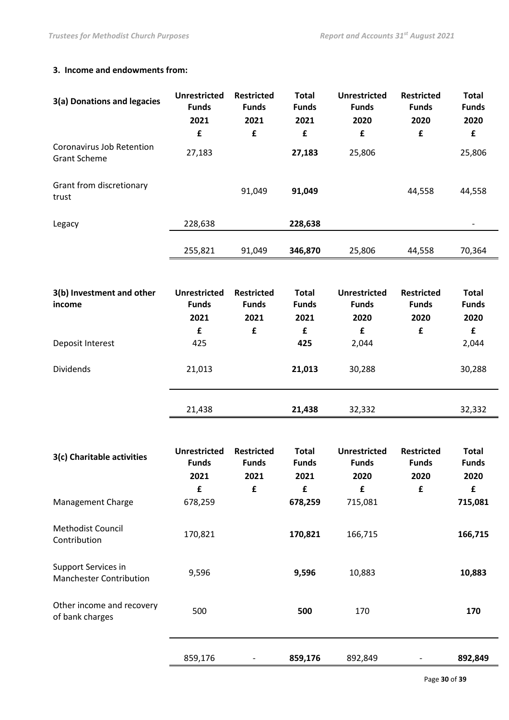### **3. Income and endowments from:**

| 3(a) Donations and legacies                      | <b>Unrestricted</b><br><b>Funds</b><br>2021 | <b>Restricted</b><br><b>Funds</b><br>2021 | <b>Total</b><br><b>Funds</b><br>2021 | <b>Unrestricted</b><br><b>Funds</b><br>2020 | <b>Restricted</b><br><b>Funds</b><br>2020 | <b>Total</b><br><b>Funds</b><br>2020 |
|--------------------------------------------------|---------------------------------------------|-------------------------------------------|--------------------------------------|---------------------------------------------|-------------------------------------------|--------------------------------------|
|                                                  | £                                           | £                                         | £                                    | £                                           | £                                         | $\mathbf f$                          |
| Coronavirus Job Retention<br><b>Grant Scheme</b> | 27,183                                      |                                           | 27,183                               | 25,806                                      |                                           | 25,806                               |
| Grant from discretionary<br>trust                |                                             | 91,049                                    | 91,049                               |                                             | 44,558                                    | 44,558                               |
| Legacy                                           | 228,638                                     |                                           | 228,638                              |                                             |                                           |                                      |
|                                                  | 255,821                                     | 91,049                                    | 346,870                              | 25,806                                      | 44,558                                    | 70,364                               |
|                                                  |                                             |                                           |                                      |                                             |                                           |                                      |
| 3(b) Investment and other<br>income              | <b>Unrestricted</b><br><b>Funds</b>         | <b>Restricted</b><br><b>Funds</b>         | <b>Total</b><br><b>Funds</b>         | <b>Unrestricted</b><br><b>Funds</b>         | <b>Restricted</b><br><b>Funds</b>         | <b>Total</b><br><b>Funds</b>         |
|                                                  | 2021                                        | 2021                                      | 2021                                 | 2020                                        | 2020                                      | 2020                                 |
|                                                  | £                                           | £                                         | £                                    | £                                           | £                                         | £                                    |
| Deposit Interest                                 | 425                                         |                                           | 425                                  | 2,044                                       |                                           | 2,044                                |
| <b>Dividends</b>                                 | 21,013                                      |                                           | 21,013                               | 30,288                                      |                                           | 30,288                               |
|                                                  | 21,438                                      |                                           | 21,438                               | 32,332                                      |                                           | 32,332                               |

| 3(c) Charitable activities                            | <b>Unrestricted</b><br><b>Funds</b> | <b>Restricted</b><br><b>Funds</b> | <b>Total</b><br><b>Funds</b> | <b>Unrestricted</b><br><b>Funds</b> | <b>Restricted</b><br><b>Funds</b> | <b>Total</b><br><b>Funds</b> |
|-------------------------------------------------------|-------------------------------------|-----------------------------------|------------------------------|-------------------------------------|-----------------------------------|------------------------------|
|                                                       | 2021                                | 2021                              | 2021                         | 2020                                | 2020                              | 2020                         |
|                                                       | £                                   | £                                 | £                            | £                                   | £                                 | £                            |
| Management Charge                                     | 678,259                             |                                   | 678,259                      | 715,081                             |                                   | 715,081                      |
| <b>Methodist Council</b><br>Contribution              | 170,821                             |                                   | 170,821                      | 166,715                             |                                   | 166,715                      |
| Support Services in<br><b>Manchester Contribution</b> | 9,596                               |                                   | 9,596                        | 10,883                              |                                   | 10,883                       |
| Other income and recovery<br>of bank charges          | 500                                 |                                   | 500                          | 170                                 |                                   | 170                          |
|                                                       | 859,176                             |                                   | 859,176                      | 892,849                             |                                   | 892,849                      |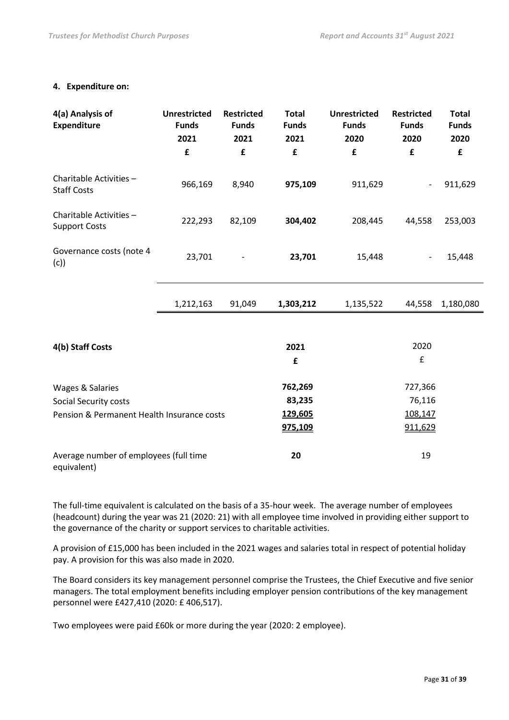### **4. Expenditure on:**

| 4(a) Analysis of<br><b>Expenditure</b>                                                  | <b>Unrestricted</b><br><b>Funds</b><br>2021<br>£ | <b>Restricted</b><br><b>Funds</b><br>2021<br>£ | <b>Total</b><br><b>Funds</b><br>2021<br>£ | <b>Unrestricted</b><br><b>Funds</b><br>2020<br>£ | <b>Restricted</b><br><b>Funds</b><br>2020<br>£ | <b>Total</b><br><b>Funds</b><br>2020<br>£ |
|-----------------------------------------------------------------------------------------|--------------------------------------------------|------------------------------------------------|-------------------------------------------|--------------------------------------------------|------------------------------------------------|-------------------------------------------|
| Charitable Activities -<br><b>Staff Costs</b>                                           | 966,169                                          | 8,940                                          | 975,109                                   | 911,629                                          |                                                | 911,629                                   |
| Charitable Activities -<br><b>Support Costs</b>                                         | 222,293                                          | 82,109                                         | 304,402                                   | 208,445                                          | 44,558                                         | 253,003                                   |
| Governance costs (note 4<br>(c)                                                         | 23,701                                           |                                                | 23,701                                    | 15,448                                           |                                                | 15,448                                    |
|                                                                                         | 1,212,163                                        | 91,049                                         | 1,303,212                                 | 1,135,522                                        | 44,558                                         | 1,180,080                                 |
| 4(b) Staff Costs                                                                        |                                                  |                                                | 2021<br>£                                 |                                                  | 2020<br>£                                      |                                           |
| Wages & Salaries<br>Social Security costs<br>Pension & Permanent Health Insurance costs |                                                  |                                                | 762,269<br>83,235<br>129,605<br>975,109   |                                                  | 727,366<br>76,116<br>108,147<br>911,629        |                                           |
| Average number of employees (full time<br>equivalent)                                   |                                                  |                                                | 20                                        |                                                  | 19                                             |                                           |

The full-time equivalent is calculated on the basis of a 35-hour week. The average number of employees (headcount) during the year was 21 (2020: 21) with all employee time involved in providing either support to the governance of the charity or support services to charitable activities.

A provision of £15,000 has been included in the 2021 wages and salaries total in respect of potential holiday pay. A provision for this was also made in 2020.

The Board considers its key management personnel comprise the Trustees, the Chief Executive and five senior managers. The total employment benefits including employer pension contributions of the key management personnel were £427,410 (2020: £ 406,517).

Two employees were paid £60k or more during the year (2020: 2 employee).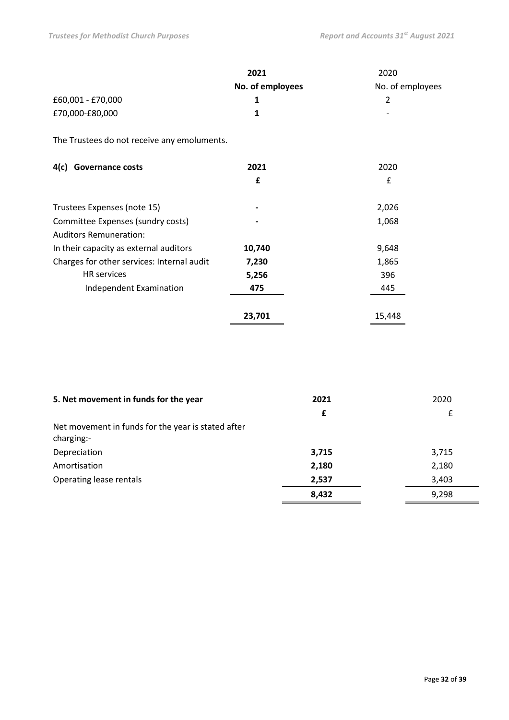|                                             | 2021             | 2020             |
|---------------------------------------------|------------------|------------------|
|                                             | No. of employees | No. of employees |
| £60,001 - £70,000                           | 1                | 2                |
| £70,000-£80,000                             | 1                |                  |
| The Trustees do not receive any emoluments. |                  |                  |
| <b>Governance costs</b><br>4(c)             | 2021             | 2020             |
|                                             | £                | £                |
| Trustees Expenses (note 15)                 |                  | 2,026            |
| Committee Expenses (sundry costs)           |                  | 1,068            |
| <b>Auditors Remuneration:</b>               |                  |                  |
| In their capacity as external auditors      | 10,740           | 9,648            |
| Charges for other services: Internal audit  | 7,230            | 1,865            |
| <b>HR</b> services                          | 5,256            | 396              |
| Independent Examination                     | 475              | 445              |
|                                             | 23,701           | 15,448           |

| 5. Net movement in funds for the year                            | 2021  | 2020  |
|------------------------------------------------------------------|-------|-------|
|                                                                  | £     | £     |
| Net movement in funds for the year is stated after<br>charging:- |       |       |
| Depreciation                                                     | 3,715 | 3,715 |
| Amortisation                                                     | 2,180 | 2,180 |
| Operating lease rentals                                          | 2,537 | 3,403 |
|                                                                  | 8,432 | 9,298 |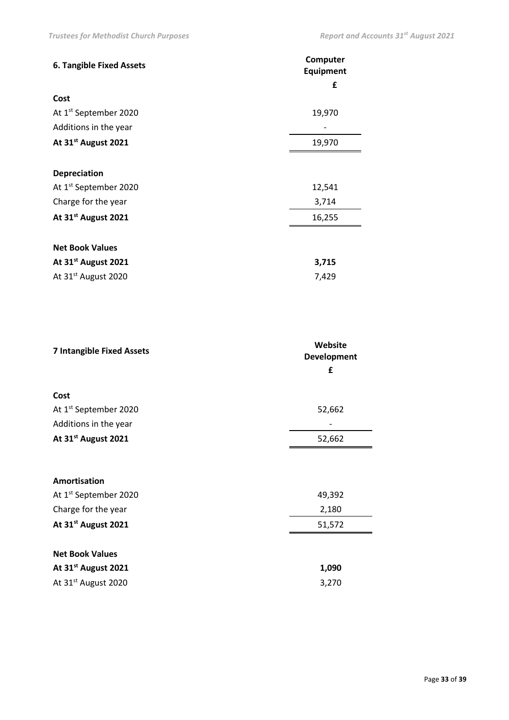| <b>6. Tangible Fixed Assets</b>   | Computer<br><b>Equipment</b> |
|-----------------------------------|------------------------------|
|                                   | £                            |
| Cost                              |                              |
| At 1 <sup>st</sup> September 2020 | 19,970                       |
| Additions in the year             |                              |
| At 31 <sup>st</sup> August 2021   | 19,970                       |
|                                   |                              |
| <b>Depreciation</b>               |                              |
| At 1 <sup>st</sup> September 2020 | 12,541                       |
| Charge for the year               | 3,714                        |
| At 31 <sup>st</sup> August 2021   | 16,255                       |
|                                   |                              |
| <b>Net Book Values</b>            |                              |
| At 31 <sup>st</sup> August 2021   | 3,715                        |
| At 31 <sup>st</sup> August 2020   | 7,429                        |

| Website<br>Development<br>£ |  |
|-----------------------------|--|
|                             |  |
| 52,662                      |  |
|                             |  |
| 52,662                      |  |
|                             |  |
|                             |  |
| 49,392                      |  |
| 2,180                       |  |
| 51,572                      |  |
|                             |  |
| 1,090                       |  |
| 3,270                       |  |
|                             |  |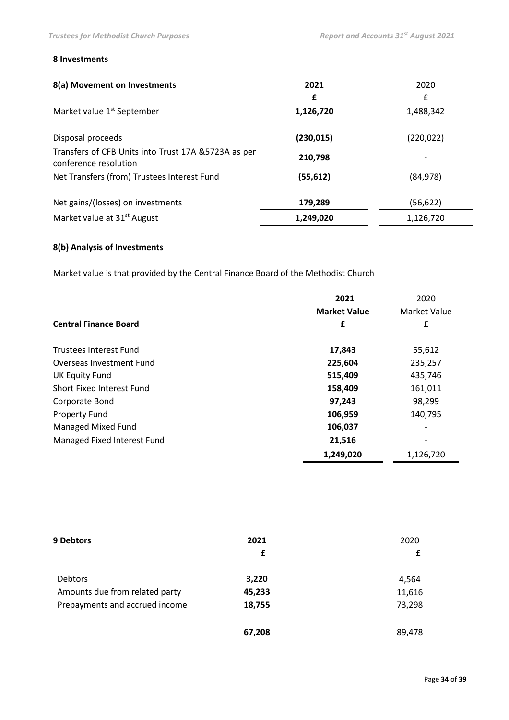### **8 Investments**

| 8(a) Movement on Investments                                                  | 2021       | 2020       |
|-------------------------------------------------------------------------------|------------|------------|
|                                                                               | £          | £          |
| Market value 1 <sup>st</sup> September                                        | 1,126,720  | 1,488,342  |
| Disposal proceeds                                                             | (230, 015) | (220, 022) |
| Transfers of CFB Units into Trust 17A & 5723A as per<br>conference resolution | 210,798    |            |
| Net Transfers (from) Trustees Interest Fund                                   | (55, 612)  | (84, 978)  |
| Net gains/(losses) on investments                                             | 179,289    | (56, 622)  |
| Market value at 31 <sup>st</sup> August                                       | 1,249,020  | 1,126,720  |

## **8(b) Analysis of Investments**

Market value is that provided by the Central Finance Board of the Methodist Church

|                                  | 2021                | 2020         |
|----------------------------------|---------------------|--------------|
|                                  | <b>Market Value</b> | Market Value |
| <b>Central Finance Board</b>     | £                   | £            |
| <b>Trustees Interest Fund</b>    | 17,843              | 55,612       |
| Overseas Investment Fund         | 225,604             | 235,257      |
| UK Equity Fund                   | 515,409             | 435,746      |
| <b>Short Fixed Interest Fund</b> | 158,409             | 161,011      |
| Corporate Bond                   | 97,243              | 98,299       |
| <b>Property Fund</b>             | 106,959             | 140,795      |
| <b>Managed Mixed Fund</b>        | 106,037             |              |
| Managed Fixed Interest Fund      | 21,516              |              |
|                                  | 1,249,020           | 1,126,720    |

| <b>9 Debtors</b>               | 2021   | 2020   |
|--------------------------------|--------|--------|
|                                | £      | £      |
| Debtors                        | 3,220  | 4,564  |
| Amounts due from related party | 45,233 | 11,616 |
| Prepayments and accrued income | 18,755 | 73,298 |
|                                | 67,208 | 89,478 |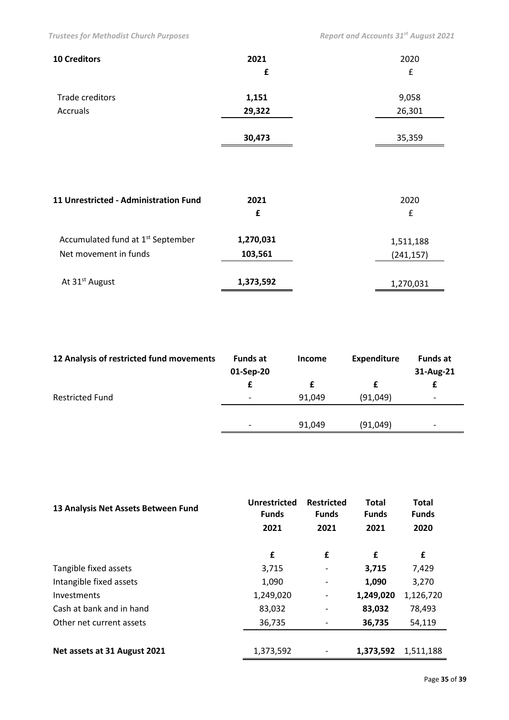| <b>10 Creditors</b>                           | 2021      | 2020       |
|-----------------------------------------------|-----------|------------|
|                                               | £         | £          |
| Trade creditors                               | 1,151     | 9,058      |
| <b>Accruals</b>                               | 29,322    | 26,301     |
|                                               | 30,473    | 35,359     |
|                                               |           |            |
| 11 Unrestricted - Administration Fund         | 2021      | 2020       |
|                                               | £         | £          |
| Accumulated fund at 1 <sup>st</sup> September | 1,270,031 | 1,511,188  |
| Net movement in funds                         | 103,561   | (241, 157) |
| At 31 <sup>st</sup> August                    | 1,373,592 | 1,270,031  |

| £                                                                                                    | <b>Funds at</b><br>31-Aug-21 |
|------------------------------------------------------------------------------------------------------|------------------------------|
|                                                                                                      |                              |
| <b>Restricted Fund</b><br>(91,049)<br>91,049<br>$\overline{\phantom{a}}$<br>$\overline{\phantom{a}}$ |                              |
|                                                                                                      |                              |
| (91,049)<br>91,049<br>$\overline{\phantom{a}}$                                                       |                              |

| 13 Analysis Net Assets Between Fund | Unrestricted<br><b>Funds</b><br>2021 | <b>Restricted</b><br><b>Funds</b><br>2021 | <b>Total</b><br><b>Funds</b><br>2021 | <b>Total</b><br><b>Funds</b><br>2020 |
|-------------------------------------|--------------------------------------|-------------------------------------------|--------------------------------------|--------------------------------------|
|                                     | £                                    | £                                         | £                                    | £                                    |
| Tangible fixed assets               | 3,715                                |                                           | 3,715                                | 7,429                                |
| Intangible fixed assets             | 1,090                                | $\overline{\phantom{a}}$                  | 1,090                                | 3,270                                |
| Investments                         | 1,249,020                            | $\overline{\phantom{a}}$                  | 1,249,020                            | 1,126,720                            |
| Cash at bank and in hand            | 83,032                               |                                           | 83,032                               | 78,493                               |
| Other net current assets            | 36,735                               |                                           | 36,735                               | 54,119                               |
|                                     |                                      |                                           |                                      |                                      |
| Net assets at 31 August 2021        | 1,373,592                            |                                           | 1,373,592                            | 1,511,188                            |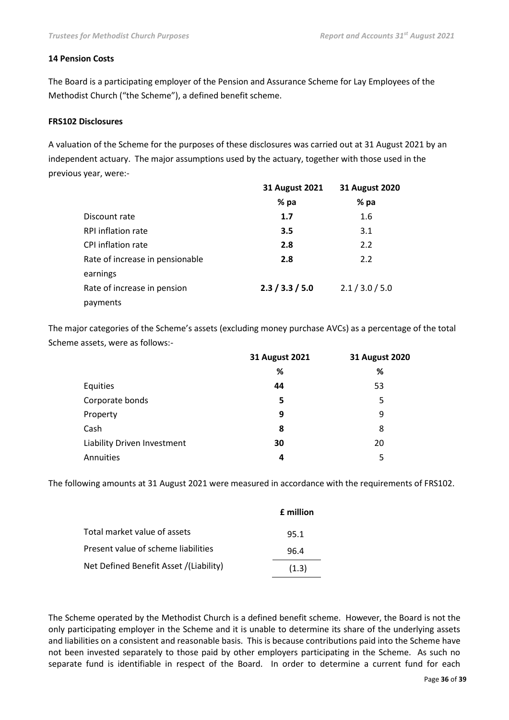### **14 Pension Costs**

The Board is a participating employer of the Pension and Assurance Scheme for Lay Employees of the Methodist Church ("the Scheme"), a defined benefit scheme.

### **FRS102 Disclosures**

A valuation of the Scheme for the purposes of these disclosures was carried out at 31 August 2021 by an independent actuary. The major assumptions used by the actuary, together with those used in the previous year, were:-

|                                 | <b>31 August 2021</b> | <b>31 August 2020</b> |
|---------------------------------|-----------------------|-----------------------|
|                                 | % pa                  | % pa                  |
| Discount rate                   | 1.7                   | $1.6\phantom{0}$      |
| RPI inflation rate              | 3.5                   | 3.1                   |
| CPI inflation rate              | 2.8                   | 2.2                   |
| Rate of increase in pensionable | 2.8                   | 2.2                   |
| earnings                        |                       |                       |
| Rate of increase in pension     | 2.3 / 3.3 / 5.0       | 2.1 / 3.0 / 5.0       |
| payments                        |                       |                       |

The major categories of the Scheme's assets (excluding money purchase AVCs) as a percentage of the total Scheme assets, were as follows:-

|                             | 31 August 2021 | 31 August 2020 |
|-----------------------------|----------------|----------------|
|                             | %              | %              |
| Equities                    | 44             | 53             |
| Corporate bonds             | 5              | 5              |
| Property                    | 9              | 9              |
| Cash                        | 8              | 8              |
| Liability Driven Investment | 30             | 20             |
| Annuities                   | 4              | 5              |

The following amounts at 31 August 2021 were measured in accordance with the requirements of FRS102.

|                                        | <b>f</b> million |
|----------------------------------------|------------------|
| Total market value of assets           | 95.1             |
| Present value of scheme liabilities    | 96.4             |
| Net Defined Benefit Asset /(Liability) | (1.3)            |

The Scheme operated by the Methodist Church is a defined benefit scheme. However, the Board is not the only participating employer in the Scheme and it is unable to determine its share of the underlying assets and liabilities on a consistent and reasonable basis. This is because contributions paid into the Scheme have not been invested separately to those paid by other employers participating in the Scheme. As such no separate fund is identifiable in respect of the Board. In order to determine a current fund for each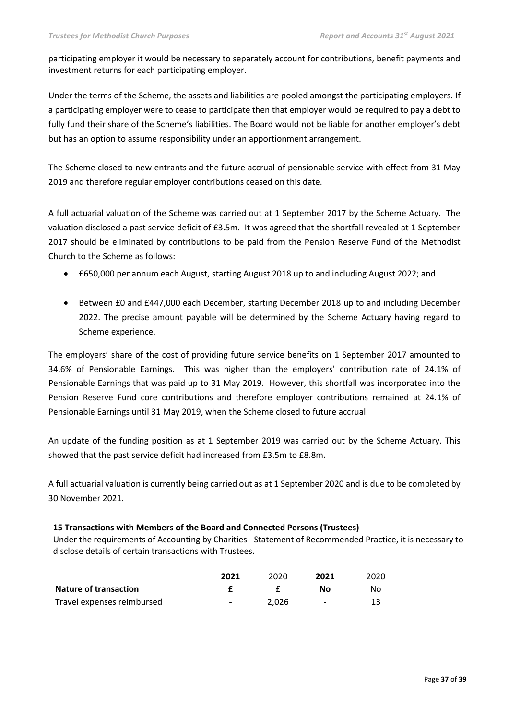participating employer it would be necessary to separately account for contributions, benefit payments and investment returns for each participating employer.

Under the terms of the Scheme, the assets and liabilities are pooled amongst the participating employers. If a participating employer were to cease to participate then that employer would be required to pay a debt to fully fund their share of the Scheme's liabilities. The Board would not be liable for another employer's debt but has an option to assume responsibility under an apportionment arrangement.

The Scheme closed to new entrants and the future accrual of pensionable service with effect from 31 May 2019 and therefore regular employer contributions ceased on this date.

A full actuarial valuation of the Scheme was carried out at 1 September 2017 by the Scheme Actuary. The valuation disclosed a past service deficit of £3.5m. It was agreed that the shortfall revealed at 1 September 2017 should be eliminated by contributions to be paid from the Pension Reserve Fund of the Methodist Church to the Scheme as follows:

- £650,000 per annum each August, starting August 2018 up to and including August 2022; and
- Between £0 and £447,000 each December, starting December 2018 up to and including December 2022. The precise amount payable will be determined by the Scheme Actuary having regard to Scheme experience.

The employers' share of the cost of providing future service benefits on 1 September 2017 amounted to 34.6% of Pensionable Earnings. This was higher than the employers' contribution rate of 24.1% of Pensionable Earnings that was paid up to 31 May 2019. However, this shortfall was incorporated into the Pension Reserve Fund core contributions and therefore employer contributions remained at 24.1% of Pensionable Earnings until 31 May 2019, when the Scheme closed to future accrual.

An update of the funding position as at 1 September 2019 was carried out by the Scheme Actuary. This showed that the past service deficit had increased from £3.5m to £8.8m.

A full actuarial valuation is currently being carried out as at 1 September 2020 and is due to be completed by 30 November 2021.

### **15 Transactions with Members of the Board and Connected Persons (Trustees)**

Under the requirements of Accounting by Charities - Statement of Recommended Practice, it is necessary to disclose details of certain transactions with Trustees.

|                              | 2021                         | 2020  | 2021           | 2020 |
|------------------------------|------------------------------|-------|----------------|------|
| <b>Nature of transaction</b> |                              |       | N٥             | Nο   |
| Travel expenses reimbursed   | $\qquad \qquad \blacksquare$ | 2.026 | $\blacksquare$ |      |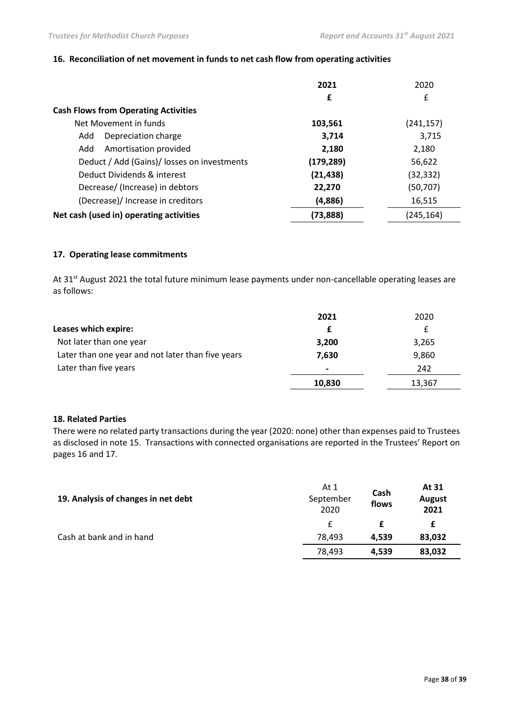### **16. Reconciliation of net movement in funds to net cash flow from operating activities**

|                                             | 2021       | 2020       |
|---------------------------------------------|------------|------------|
|                                             | £          | £          |
| <b>Cash Flows from Operating Activities</b> |            |            |
| Net Movement in funds                       | 103,561    | (241, 157) |
| Depreciation charge<br>Add                  | 3,714      | 3,715      |
| Amortisation provided<br>Add                | 2,180      | 2,180      |
| Deduct / Add (Gains)/ losses on investments | (179, 289) | 56,622     |
| Deduct Dividends & interest                 | (21, 438)  | (32, 332)  |
| Decrease/ (Increase) in debtors             | 22,270     | (50, 707)  |
| (Decrease)/ Increase in creditors           | (4,886)    | 16,515     |
| Net cash (used in) operating activities     | (73, 888)  | (245, 164) |

### **17. Operating lease commitments**

At 31<sup>st</sup> August 2021 the total future minimum lease payments under non-cancellable operating leases are as follows:

|                                                   | 2021           | 2020   |
|---------------------------------------------------|----------------|--------|
| Leases which expire:                              |                |        |
| Not later than one year                           | 3,200          | 3,265  |
| Later than one year and not later than five years | 7,630          | 9,860  |
| Later than five years                             | $\blacksquare$ | 242    |
|                                                   | 10,830         | 13,367 |

### **18. Related Parties**

There were no related party transactions during the year (2020: none) other than expenses paid to Trustees as disclosed in note 15. Transactions with connected organisations are reported in the Trustees' Report on pages 16 and 17.

| 19. Analysis of changes in net debt | At 1<br>September<br>2020 | Cash<br>flows | At 31<br>August<br>2021 |
|-------------------------------------|---------------------------|---------------|-------------------------|
|                                     |                           |               | £                       |
| Cash at bank and in hand            | 78.493                    | 4.539         | 83,032                  |
|                                     | 78,493                    | 4,539         | 83,032                  |